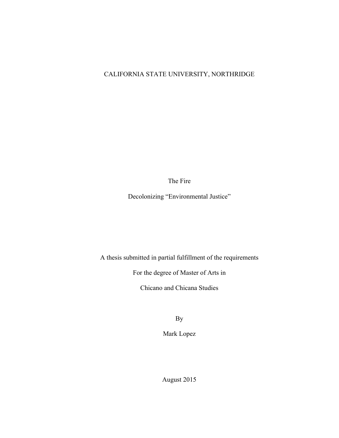# CALIFORNIA STATE UNIVERSITY, NORTHRIDGE

The Fire

Decolonizing "Environmental Justice"

A thesis submitted in partial fulfillment of the requirements

For the degree of Master of Arts in

Chicano and Chicana Studies

By

Mark Lopez

August 2015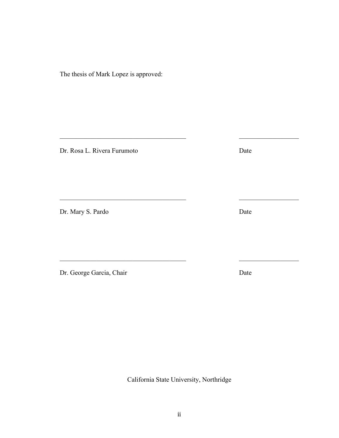The thesis of Mark Lopez is approved:

Dr. Rosa L. Rivera Furumoto Date

Dr. Mary S. Pardo Date

Dr. George Garcia, Chair Date

ii

California State University, Northridge

 $\mathcal{L}_\text{max}$  , and the contribution of the contribution of the contribution of the contribution of the contribution of the contribution of the contribution of the contribution of the contribution of the contribution of t

 $\mathcal{L}_\text{max}$  , and the contribution of the contribution of the contribution of the contribution of the contribution of the contribution of the contribution of the contribution of the contribution of the contribution of t

\_\_\_\_\_\_\_\_\_\_\_\_\_\_\_\_\_\_\_\_\_\_\_\_\_\_\_\_\_\_\_\_\_\_\_\_\_\_ \_\_\_\_\_\_\_\_\_\_\_\_\_\_\_\_\_\_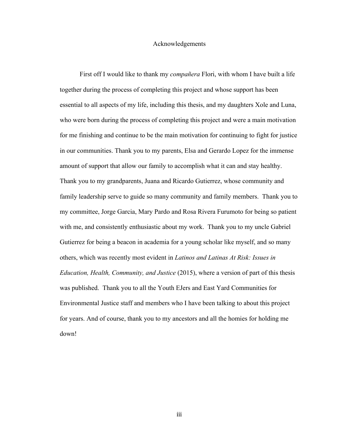### Acknowledgements

First off I would like to thank my *compañera* Flori, with whom I have built a life together during the process of completing this project and whose support has been essential to all aspects of my life, including this thesis, and my daughters Xole and Luna, who were born during the process of completing this project and were a main motivation for me finishing and continue to be the main motivation for continuing to fight for justice in our communities. Thank you to my parents, Elsa and Gerardo Lopez for the immense amount of support that allow our family to accomplish what it can and stay healthy. Thank you to my grandparents, Juana and Ricardo Gutierrez, whose community and family leadership serve to guide so many community and family members. Thank you to my committee, Jorge Garcia, Mary Pardo and Rosa Rivera Furumoto for being so patient with me, and consistently enthusiastic about my work. Thank you to my uncle Gabriel Gutierrez for being a beacon in academia for a young scholar like myself, and so many others, which was recently most evident in *Latinos and Latinas At Risk: Issues in Education, Health, Community, and Justice* (2015), where a version of part of this thesis was published. Thank you to all the Youth EJers and East Yard Communities for Environmental Justice staff and members who I have been talking to about this project for years. And of course, thank you to my ancestors and all the homies for holding me down!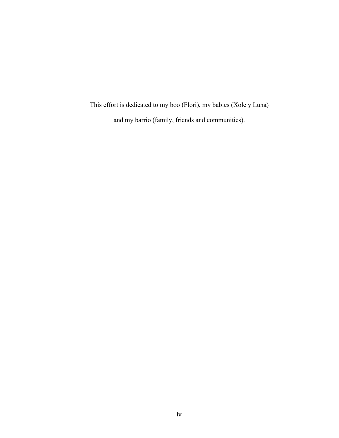This effort is dedicated to my boo (Flori), my babies (Xole y Luna) and my barrio (family, friends and communities).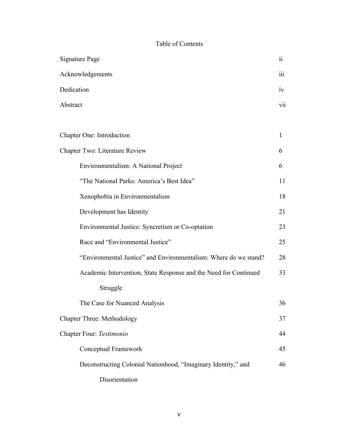# Table of Contents

| Signature Page                                                   |    |
|------------------------------------------------------------------|----|
| Acknowledgements                                                 |    |
| Dedication                                                       |    |
| Abstract                                                         |    |
|                                                                  |    |
| Chapter One: Introduction                                        | 1  |
| Chapter Two: Literature Review                                   |    |
| Environmentalism: A National Project                             | 6  |
| "The National Parks: America's Best Idea"                        | 11 |
| Xenophobia in Environmentalism                                   | 18 |
| Development has Identity                                         | 21 |
| Environmental Justice: Syncretism or Co-optation                 | 23 |
| Race and "Environmental Justice"                                 | 25 |
| "Environmental Justice" and Environmentalism: Where do we stand? | 28 |
| Academic Intervention, State Response and the Need for Continued | 33 |
| Struggle                                                         |    |
| The Case for Nuanced Analysis                                    | 36 |
| <b>Chapter Three: Methodology</b>                                |    |
| Chapter Four: Testimonio                                         |    |
| Conceptual Framework                                             | 45 |
| Deconstructing Colonial Nationhood, "Imaginary Identity," and    | 46 |
| Disorientation                                                   |    |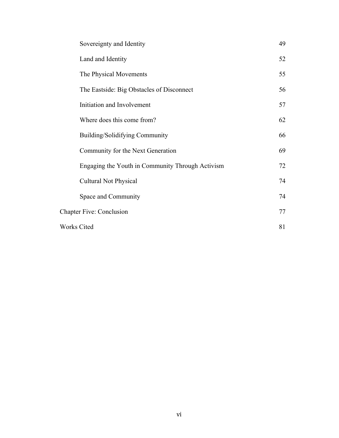|                    | Sovereignty and Identity                         | 49 |
|--------------------|--------------------------------------------------|----|
|                    | Land and Identity                                | 52 |
|                    | The Physical Movements                           | 55 |
|                    | The Eastside: Big Obstacles of Disconnect        | 56 |
|                    | Initiation and Involvement                       | 57 |
|                    | Where does this come from?                       | 62 |
|                    | Building/Solidifying Community                   | 66 |
|                    | Community for the Next Generation                | 69 |
|                    | Engaging the Youth in Community Through Activism | 72 |
|                    | <b>Cultural Not Physical</b>                     | 74 |
|                    | Space and Community                              | 74 |
|                    | <b>Chapter Five: Conclusion</b>                  | 77 |
| <b>Works Cited</b> |                                                  | 81 |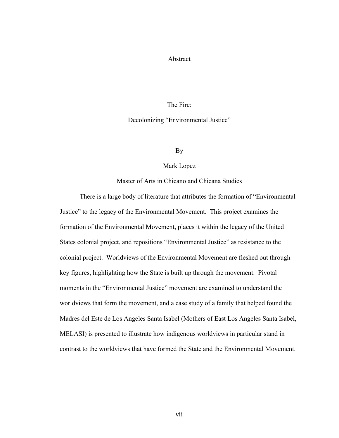## Abstract

## The Fire:

#### Decolonizing "Environmental Justice"

By

#### Mark Lopez

Master of Arts in Chicano and Chicana Studies

There is a large body of literature that attributes the formation of "Environmental Justice" to the legacy of the Environmental Movement. This project examines the formation of the Environmental Movement, places it within the legacy of the United States colonial project, and repositions "Environmental Justice" as resistance to the colonial project. Worldviews of the Environmental Movement are fleshed out through key figures, highlighting how the State is built up through the movement. Pivotal moments in the "Environmental Justice" movement are examined to understand the worldviews that form the movement, and a case study of a family that helped found the Madres del Este de Los Angeles Santa Isabel (Mothers of East Los Angeles Santa Isabel, MELASI) is presented to illustrate how indigenous worldviews in particular stand in contrast to the worldviews that have formed the State and the Environmental Movement.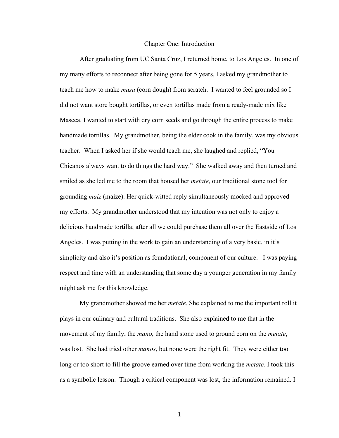#### Chapter One: Introduction

After graduating from UC Santa Cruz, I returned home, to Los Angeles. In one of my many efforts to reconnect after being gone for 5 years, I asked my grandmother to teach me how to make *masa* (corn dough) from scratch. I wanted to feel grounded so I did not want store bought tortillas, or even tortillas made from a ready-made mix like Maseca. I wanted to start with dry corn seeds and go through the entire process to make handmade tortillas. My grandmother, being the elder cook in the family, was my obvious teacher. When I asked her if she would teach me, she laughed and replied, "You Chicanos always want to do things the hard way." She walked away and then turned and smiled as she led me to the room that housed her *metate*, our traditional stone tool for grounding *maiz* (maize). Her quick-witted reply simultaneously mocked and approved my efforts. My grandmother understood that my intention was not only to enjoy a delicious handmade tortilla; after all we could purchase them all over the Eastside of Los Angeles. I was putting in the work to gain an understanding of a very basic, in it's simplicity and also it's position as foundational, component of our culture. I was paying respect and time with an understanding that some day a younger generation in my family might ask me for this knowledge.

My grandmother showed me her *metate*. She explained to me the important roll it plays in our culinary and cultural traditions. She also explained to me that in the movement of my family, the *mano*, the hand stone used to ground corn on the *metate*, was lost. She had tried other *manos*, but none were the right fit. They were either too long or too short to fill the groove earned over time from working the *metate.* I took this as a symbolic lesson. Though a critical component was lost, the information remained. I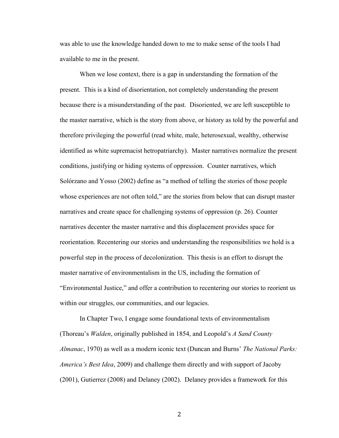was able to use the knowledge handed down to me to make sense of the tools I had available to me in the present.

When we lose context, there is a gap in understanding the formation of the present. This is a kind of disorientation, not completely understanding the present because there is a misunderstanding of the past. Disoriented, we are left susceptible to the master narrative, which is the story from above, or history as told by the powerful and therefore privileging the powerful (read white, male, heterosexual, wealthy, otherwise identified as white supremacist hetropatriarchy). Master narratives normalize the present conditions, justifying or hiding systems of oppression. Counter narratives, which Solórzano and Yosso (2002) define as "a method of telling the stories of those people whose experiences are not often told," are the stories from below that can disrupt master narratives and create space for challenging systems of oppression (p. 26). Counter narratives decenter the master narrative and this displacement provides space for reorientation. Recentering our stories and understanding the responsibilities we hold is a powerful step in the process of decolonization. This thesis is an effort to disrupt the master narrative of environmentalism in the US, including the formation of "Environmental Justice," and offer a contribution to recentering our stories to reorient us within our struggles, our communities, and our legacies.

In Chapter Two, I engage some foundational texts of environmentalism (Thoreau's *Walden*, originally published in 1854, and Leopold's *A Sand County Almanac*, 1970) as well as a modern iconic text (Duncan and Burns' *The National Parks: America's Best Idea*, 2009) and challenge them directly and with support of Jacoby (2001), Gutierrez (2008) and Delaney (2002). Delaney provides a framework for this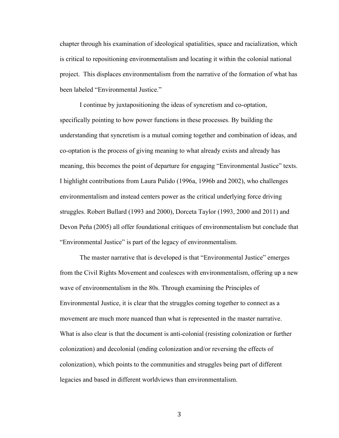chapter through his examination of ideological spatialities, space and racialization, which is critical to repositioning environmentalism and locating it within the colonial national project. This displaces environmentalism from the narrative of the formation of what has been labeled "Environmental Justice."

I continue by juxtapositioning the ideas of syncretism and co-optation, specifically pointing to how power functions in these processes. By building the understanding that syncretism is a mutual coming together and combination of ideas, and co-optation is the process of giving meaning to what already exists and already has meaning, this becomes the point of departure for engaging "Environmental Justice" texts. I highlight contributions from Laura Pulido (1996a, 1996b and 2002), who challenges environmentalism and instead centers power as the critical underlying force driving struggles. Robert Bullard (1993 and 2000), Dorceta Taylor (1993, 2000 and 2011) and Devon Peña (2005) all offer foundational critiques of environmentalism but conclude that "Environmental Justice" is part of the legacy of environmentalism.

The master narrative that is developed is that "Environmental Justice" emerges from the Civil Rights Movement and coalesces with environmentalism, offering up a new wave of environmentalism in the 80s. Through examining the Principles of Environmental Justice, it is clear that the struggles coming together to connect as a movement are much more nuanced than what is represented in the master narrative. What is also clear is that the document is anti-colonial (resisting colonization or further colonization) and decolonial (ending colonization and/or reversing the effects of colonization), which points to the communities and struggles being part of different legacies and based in different worldviews than environmentalism.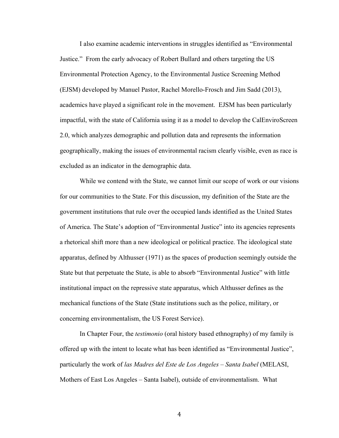I also examine academic interventions in struggles identified as "Environmental Justice." From the early advocacy of Robert Bullard and others targeting the US Environmental Protection Agency, to the Environmental Justice Screening Method (EJSM) developed by Manuel Pastor, Rachel Morello-Frosch and Jim Sadd (2013), academics have played a significant role in the movement. EJSM has been particularly impactful, with the state of California using it as a model to develop the CalEnviroScreen 2.0, which analyzes demographic and pollution data and represents the information geographically, making the issues of environmental racism clearly visible, even as race is excluded as an indicator in the demographic data.

While we contend with the State, we cannot limit our scope of work or our visions for our communities to the State. For this discussion, my definition of the State are the government institutions that rule over the occupied lands identified as the United States of America. The State's adoption of "Environmental Justice" into its agencies represents a rhetorical shift more than a new ideological or political practice. The ideological state apparatus, defined by Althusser (1971) as the spaces of production seemingly outside the State but that perpetuate the State, is able to absorb "Environmental Justice" with little institutional impact on the repressive state apparatus, which Althusser defines as the mechanical functions of the State (State institutions such as the police, military, or concerning environmentalism, the US Forest Service).

In Chapter Four, the *testimonio* (oral history based ethnography) of my family is offered up with the intent to locate what has been identified as "Environmental Justice", particularly the work of *las Madres del Este de Los Angeles – Santa Isabel* (MELASI, Mothers of East Los Angeles – Santa Isabel), outside of environmentalism. What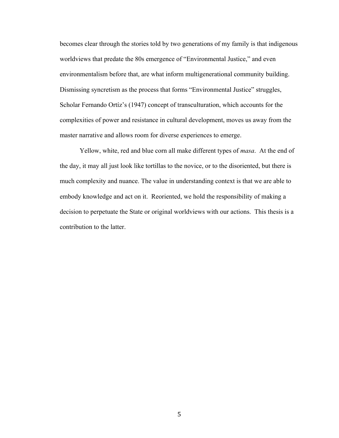becomes clear through the stories told by two generations of my family is that indigenous worldviews that predate the 80s emergence of "Environmental Justice," and even environmentalism before that, are what inform multigenerational community building. Dismissing syncretism as the process that forms "Environmental Justice" struggles, Scholar Fernando Ortíz's (1947) concept of transculturation, which accounts for the complexities of power and resistance in cultural development, moves us away from the master narrative and allows room for diverse experiences to emerge.

Yellow, white, red and blue corn all make different types of *masa*. At the end of the day, it may all just look like tortillas to the novice, or to the disoriented, but there is much complexity and nuance. The value in understanding context is that we are able to embody knowledge and act on it. Reoriented, we hold the responsibility of making a decision to perpetuate the State or original worldviews with our actions. This thesis is a contribution to the latter.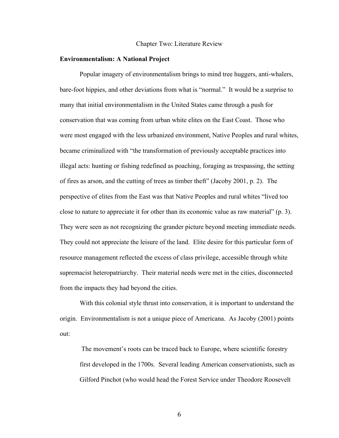#### Chapter Two: Literature Review

#### **Environmentalism: A National Project**

Popular imagery of environmentalism brings to mind tree huggers, anti-whalers, bare-foot hippies, and other deviations from what is "normal." It would be a surprise to many that initial environmentalism in the United States came through a push for conservation that was coming from urban white elites on the East Coast. Those who were most engaged with the less urbanized environment, Native Peoples and rural whites, became criminalized with "the transformation of previously acceptable practices into illegal acts: hunting or fishing redefined as poaching, foraging as trespassing, the setting of fires as arson, and the cutting of trees as timber theft" (Jacoby 2001, p. 2). The perspective of elites from the East was that Native Peoples and rural whites "lived too close to nature to appreciate it for other than its economic value as raw material" (p. 3). They were seen as not recognizing the grander picture beyond meeting immediate needs. They could not appreciate the leisure of the land. Elite desire for this particular form of resource management reflected the excess of class privilege, accessible through white supremacist heteropatriarchy. Their material needs were met in the cities, disconnected from the impacts they had beyond the cities.

With this colonial style thrust into conservation, it is important to understand the origin. Environmentalism is not a unique piece of Americana. As Jacoby (2001) points out:

The movement's roots can be traced back to Europe, where scientific forestry first developed in the 1700s. Several leading American conservationists, such as Gilford Pinchot (who would head the Forest Service under Theodore Roosevelt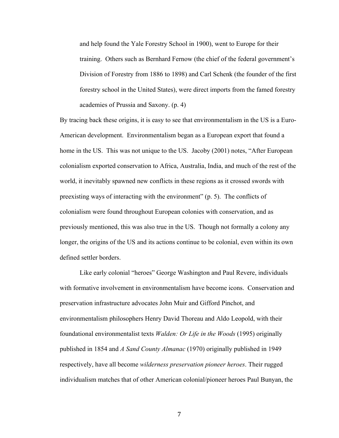and help found the Yale Forestry School in 1900), went to Europe for their training. Others such as Bernhard Fernow (the chief of the federal government's Division of Forestry from 1886 to 1898) and Carl Schenk (the founder of the first forestry school in the United States), were direct imports from the famed forestry academies of Prussia and Saxony. (p. 4)

By tracing back these origins, it is easy to see that environmentalism in the US is a Euro-American development. Environmentalism began as a European export that found a home in the US. This was not unique to the US. Jacoby (2001) notes, "After European colonialism exported conservation to Africa, Australia, India, and much of the rest of the world, it inevitably spawned new conflicts in these regions as it crossed swords with preexisting ways of interacting with the environment" (p. 5). The conflicts of colonialism were found throughout European colonies with conservation, and as previously mentioned, this was also true in the US. Though not formally a colony any longer, the origins of the US and its actions continue to be colonial, even within its own defined settler borders.

Like early colonial "heroes" George Washington and Paul Revere, individuals with formative involvement in environmentalism have become icons. Conservation and preservation infrastructure advocates John Muir and Gifford Pinchot, and environmentalism philosophers Henry David Thoreau and Aldo Leopold, with their foundational environmentalist texts *Walden: Or Life in the Woods* (1995) originally published in 1854 and *A Sand County Almanac* (1970) originally published in 1949 respectively, have all become *wilderness preservation pioneer heroes*. Their rugged individualism matches that of other American colonial/pioneer heroes Paul Bunyan, the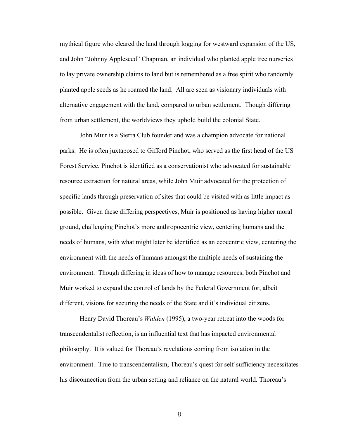mythical figure who cleared the land through logging for westward expansion of the US, and John "Johnny Appleseed" Chapman, an individual who planted apple tree nurseries to lay private ownership claims to land but is remembered as a free spirit who randomly planted apple seeds as he roamed the land. All are seen as visionary individuals with alternative engagement with the land, compared to urban settlement. Though differing from urban settlement, the worldviews they uphold build the colonial State.

John Muir is a Sierra Club founder and was a champion advocate for national parks. He is often juxtaposed to Gifford Pinchot, who served as the first head of the US Forest Service. Pinchot is identified as a conservationist who advocated for sustainable resource extraction for natural areas, while John Muir advocated for the protection of specific lands through preservation of sites that could be visited with as little impact as possible. Given these differing perspectives, Muir is positioned as having higher moral ground, challenging Pinchot's more anthropocentric view, centering humans and the needs of humans, with what might later be identified as an ecocentric view, centering the environment with the needs of humans amongst the multiple needs of sustaining the environment. Though differing in ideas of how to manage resources, both Pinchot and Muir worked to expand the control of lands by the Federal Government for, albeit different, visions for securing the needs of the State and it's individual citizens.

Henry David Thoreau's *Walden* (1995), a two-year retreat into the woods for transcendentalist reflection, is an influential text that has impacted environmental philosophy. It is valued for Thoreau's revelations coming from isolation in the environment. True to transcendentalism, Thoreau's quest for self-sufficiency necessitates his disconnection from the urban setting and reliance on the natural world. Thoreau's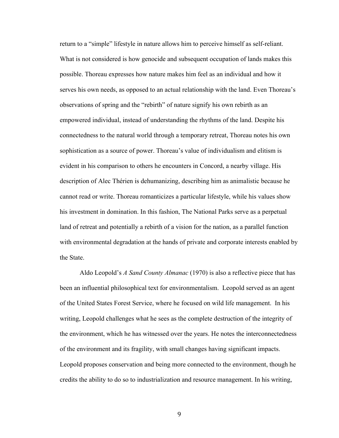return to a "simple" lifestyle in nature allows him to perceive himself as self-reliant. What is not considered is how genocide and subsequent occupation of lands makes this possible. Thoreau expresses how nature makes him feel as an individual and how it serves his own needs, as opposed to an actual relationship with the land. Even Thoreau's observations of spring and the "rebirth" of nature signify his own rebirth as an empowered individual, instead of understanding the rhythms of the land. Despite his connectedness to the natural world through a temporary retreat, Thoreau notes his own sophistication as a source of power. Thoreau's value of individualism and elitism is evident in his comparison to others he encounters in Concord, a nearby village. His description of Alec Thérien is dehumanizing, describing him as animalistic because he cannot read or write. Thoreau romanticizes a particular lifestyle, while his values show his investment in domination. In this fashion, The National Parks serve as a perpetual land of retreat and potentially a rebirth of a vision for the nation, as a parallel function with environmental degradation at the hands of private and corporate interests enabled by the State.

Aldo Leopold's *A Sand County Almanac* (1970) is also a reflective piece that has been an influential philosophical text for environmentalism. Leopold served as an agent of the United States Forest Service, where he focused on wild life management. In his writing, Leopold challenges what he sees as the complete destruction of the integrity of the environment, which he has witnessed over the years. He notes the interconnectedness of the environment and its fragility, with small changes having significant impacts. Leopold proposes conservation and being more connected to the environment, though he credits the ability to do so to industrialization and resource management. In his writing,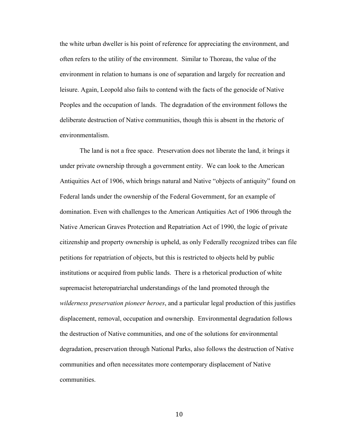the white urban dweller is his point of reference for appreciating the environment, and often refers to the utility of the environment. Similar to Thoreau, the value of the environment in relation to humans is one of separation and largely for recreation and leisure. Again, Leopold also fails to contend with the facts of the genocide of Native Peoples and the occupation of lands. The degradation of the environment follows the deliberate destruction of Native communities, though this is absent in the rhetoric of environmentalism.

The land is not a free space. Preservation does not liberate the land, it brings it under private ownership through a government entity. We can look to the American Antiquities Act of 1906, which brings natural and Native "objects of antiquity" found on Federal lands under the ownership of the Federal Government, for an example of domination. Even with challenges to the American Antiquities Act of 1906 through the Native American Graves Protection and Repatriation Act of 1990, the logic of private citizenship and property ownership is upheld, as only Federally recognized tribes can file petitions for repatriation of objects, but this is restricted to objects held by public institutions or acquired from public lands. There is a rhetorical production of white supremacist heteropatriarchal understandings of the land promoted through the *wilderness preservation pioneer heroes*, and a particular legal production of this justifies displacement, removal, occupation and ownership. Environmental degradation follows the destruction of Native communities, and one of the solutions for environmental degradation, preservation through National Parks, also follows the destruction of Native communities and often necessitates more contemporary displacement of Native communities.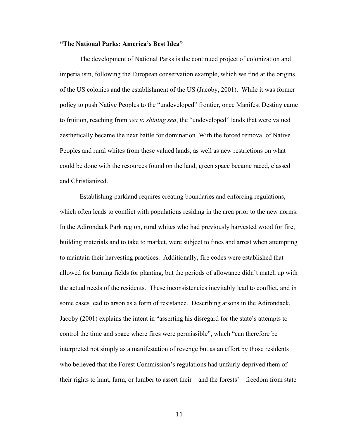## **"The National Parks: America's Best Idea"**

The development of National Parks is the continued project of colonization and imperialism, following the European conservation example, which we find at the origins of the US colonies and the establishment of the US (Jacoby, 2001). While it was former policy to push Native Peoples to the "undeveloped" frontier, once Manifest Destiny came to fruition, reaching from *sea to shining sea*, the "undeveloped" lands that were valued aesthetically became the next battle for domination. With the forced removal of Native Peoples and rural whites from these valued lands, as well as new restrictions on what could be done with the resources found on the land, green space became raced, classed and Christianized.

Establishing parkland requires creating boundaries and enforcing regulations, which often leads to conflict with populations residing in the area prior to the new norms. In the Adirondack Park region, rural whites who had previously harvested wood for fire, building materials and to take to market, were subject to fines and arrest when attempting to maintain their harvesting practices. Additionally, fire codes were established that allowed for burning fields for planting, but the periods of allowance didn't match up with the actual needs of the residents. These inconsistencies inevitably lead to conflict, and in some cases lead to arson as a form of resistance. Describing arsons in the Adirondack, Jacoby (2001) explains the intent in "asserting his disregard for the state's attempts to control the time and space where fires were permissible", which "can therefore be interpreted not simply as a manifestation of revenge but as an effort by those residents who believed that the Forest Commission's regulations had unfairly deprived them of their rights to hunt, farm, or lumber to assert their – and the forests' – freedom from state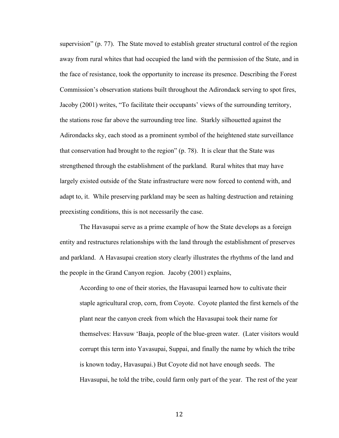supervision" (p. 77). The State moved to establish greater structural control of the region away from rural whites that had occupied the land with the permission of the State, and in the face of resistance, took the opportunity to increase its presence. Describing the Forest Commission's observation stations built throughout the Adirondack serving to spot fires, Jacoby (2001) writes, "To facilitate their occupants' views of the surrounding territory, the stations rose far above the surrounding tree line. Starkly silhouetted against the Adirondacks sky, each stood as a prominent symbol of the heightened state surveillance that conservation had brought to the region" (p. 78). It is clear that the State was strengthened through the establishment of the parkland. Rural whites that may have largely existed outside of the State infrastructure were now forced to contend with, and adapt to, it. While preserving parkland may be seen as halting destruction and retaining preexisting conditions, this is not necessarily the case.

The Havasupai serve as a prime example of how the State develops as a foreign entity and restructures relationships with the land through the establishment of preserves and parkland. A Havasupai creation story clearly illustrates the rhythms of the land and the people in the Grand Canyon region. Jacoby (2001) explains,

According to one of their stories, the Havasupai learned how to cultivate their staple agricultural crop, corn, from Coyote. Coyote planted the first kernels of the plant near the canyon creek from which the Havasupai took their name for themselves: Havsuw 'Baaja, people of the blue-green water. (Later visitors would corrupt this term into Yavasupai, Suppai, and finally the name by which the tribe is known today, Havasupai.) But Coyote did not have enough seeds. The Havasupai, he told the tribe, could farm only part of the year. The rest of the year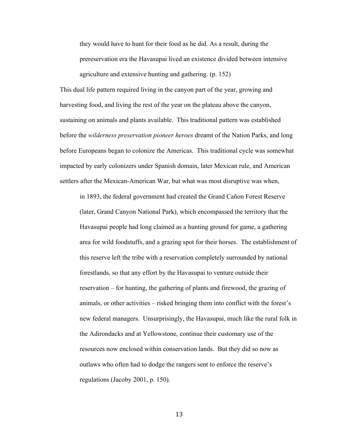they would have to hunt for their food as he did. As a result, during the prereservation era the Havasupai lived an existence divided between intensive agriculture and extensive hunting and gathering. (p. 152)

This dual life pattern required living in the canyon part of the year, growing and harvesting food, and living the rest of the year on the plateau above the canyon, sustaining on animals and plants available. This traditional pattern was established before the *wilderness preservation pioneer heroes* dreamt of the Nation Parks, and long before Europeans began to colonize the Americas. This traditional cycle was somewhat impacted by early colonizers under Spanish domain, later Mexican rule, and American settlers after the Mexican-American War, but what was most disruptive was when,

in 1893, the federal government had created the Grand Cañon Forest Reserve (later, Grand Canyon National Park), which encompassed the territory that the Havasupai people had long claimed as a hunting ground for game, a gathering area for wild foodstuffs, and a grazing spot for their horses. The establishment of this reserve left the tribe with a reservation completely surrounded by national forestlands, so that any effort by the Havasupai to venture outside their reservation – for hunting, the gathering of plants and firewood, the grazing of animals, or other activities – risked bringing them into conflict with the forest's new federal managers. Unsurprisingly, the Havasupai, much like the rural folk in the Adirondacks and at Yellowstone, continue their customary use of the resources now enclosed within conservation lands. But they did so now as outlaws who often had to dodge the rangers sent to enforce the reserve's regulations (Jacoby 2001, p. 150).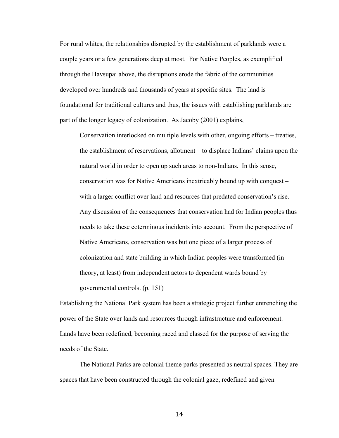For rural whites, the relationships disrupted by the establishment of parklands were a couple years or a few generations deep at most. For Native Peoples, as exemplified through the Havsupai above, the disruptions erode the fabric of the communities developed over hundreds and thousands of years at specific sites. The land is foundational for traditional cultures and thus, the issues with establishing parklands are part of the longer legacy of colonization. As Jacoby (2001) explains,

Conservation interlocked on multiple levels with other, ongoing efforts – treaties, the establishment of reservations, allotment – to displace Indians' claims upon the natural world in order to open up such areas to non-Indians. In this sense, conservation was for Native Americans inextricably bound up with conquest – with a larger conflict over land and resources that predated conservation's rise. Any discussion of the consequences that conservation had for Indian peoples thus needs to take these coterminous incidents into account. From the perspective of Native Americans, conservation was but one piece of a larger process of colonization and state building in which Indian peoples were transformed (in theory, at least) from independent actors to dependent wards bound by governmental controls. (p. 151)

Establishing the National Park system has been a strategic project further entrenching the power of the State over lands and resources through infrastructure and enforcement. Lands have been redefined, becoming raced and classed for the purpose of serving the needs of the State.

The National Parks are colonial theme parks presented as neutral spaces. They are spaces that have been constructed through the colonial gaze, redefined and given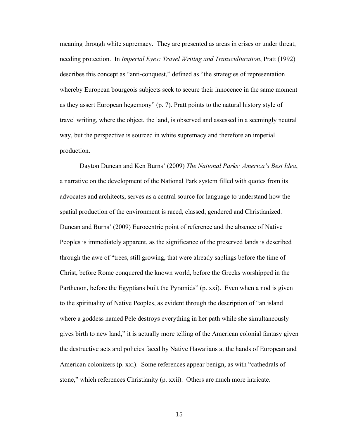meaning through white supremacy. They are presented as areas in crises or under threat, needing protection. In *Imperial Eyes: Travel Writing and Transculturation*, Pratt (1992) describes this concept as "anti-conquest," defined as "the strategies of representation whereby European bourgeois subjects seek to secure their innocence in the same moment as they assert European hegemony" (p. 7). Pratt points to the natural history style of travel writing, where the object, the land, is observed and assessed in a seemingly neutral way, but the perspective is sourced in white supremacy and therefore an imperial production.

Dayton Duncan and Ken Burns' (2009) *The National Parks: America's Best Idea*, a narrative on the development of the National Park system filled with quotes from its advocates and architects, serves as a central source for language to understand how the spatial production of the environment is raced, classed, gendered and Christianized. Duncan and Burns' (2009) Eurocentric point of reference and the absence of Native Peoples is immediately apparent, as the significance of the preserved lands is described through the awe of "trees, still growing, that were already saplings before the time of Christ, before Rome conquered the known world, before the Greeks worshipped in the Parthenon, before the Egyptians built the Pyramids" (p. xxi). Even when a nod is given to the spirituality of Native Peoples, as evident through the description of "an island where a goddess named Pele destroys everything in her path while she simultaneously gives birth to new land," it is actually more telling of the American colonial fantasy given the destructive acts and policies faced by Native Hawaiians at the hands of European and American colonizers (p. xxi). Some references appear benign, as with "cathedrals of stone," which references Christianity (p. xxii). Others are much more intricate.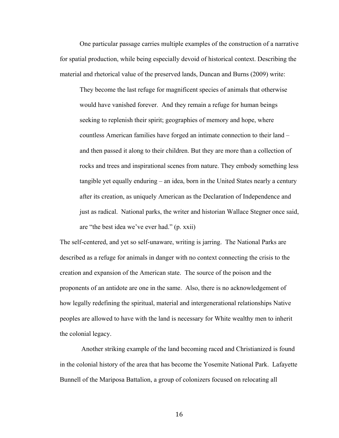One particular passage carries multiple examples of the construction of a narrative for spatial production, while being especially devoid of historical context. Describing the material and rhetorical value of the preserved lands, Duncan and Burns (2009) write:

They become the last refuge for magnificent species of animals that otherwise would have vanished forever. And they remain a refuge for human beings seeking to replenish their spirit; geographies of memory and hope, where countless American families have forged an intimate connection to their land – and then passed it along to their children. But they are more than a collection of rocks and trees and inspirational scenes from nature. They embody something less tangible yet equally enduring – an idea, born in the United States nearly a century after its creation, as uniquely American as the Declaration of Independence and just as radical. National parks, the writer and historian Wallace Stegner once said, are "the best idea we've ever had." (p. xxii)

The self-centered, and yet so self-unaware, writing is jarring. The National Parks are described as a refuge for animals in danger with no context connecting the crisis to the creation and expansion of the American state. The source of the poison and the proponents of an antidote are one in the same. Also, there is no acknowledgement of how legally redefining the spiritual, material and intergenerational relationships Native peoples are allowed to have with the land is necessary for White wealthy men to inherit the colonial legacy.

Another striking example of the land becoming raced and Christianized is found in the colonial history of the area that has become the Yosemite National Park. Lafayette Bunnell of the Mariposa Battalion, a group of colonizers focused on relocating all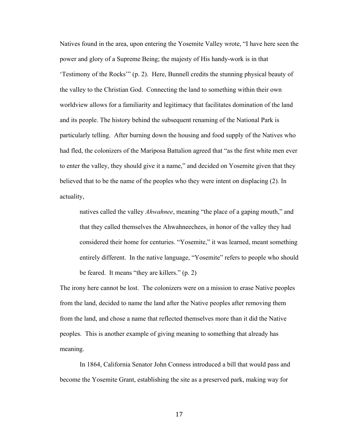Natives found in the area, upon entering the Yosemite Valley wrote, "I have here seen the power and glory of a Supreme Being; the majesty of His handy-work is in that 'Testimony of the Rocks'" (p. 2). Here, Bunnell credits the stunning physical beauty of the valley to the Christian God. Connecting the land to something within their own worldview allows for a familiarity and legitimacy that facilitates domination of the land and its people. The history behind the subsequent renaming of the National Park is particularly telling. After burning down the housing and food supply of the Natives who had fled, the colonizers of the Mariposa Battalion agreed that "as the first white men ever to enter the valley, they should give it a name," and decided on Yosemite given that they believed that to be the name of the peoples who they were intent on displacing (2). In actuality,

natives called the valley *Ahwahnee*, meaning "the place of a gaping mouth," and that they called themselves the Ahwahneechees, in honor of the valley they had considered their home for centuries. "Yosemite," it was learned, meant something entirely different. In the native language, "Yosemite" refers to people who should be feared. It means "they are killers." (p. 2)

The irony here cannot be lost. The colonizers were on a mission to erase Native peoples from the land, decided to name the land after the Native peoples after removing them from the land, and chose a name that reflected themselves more than it did the Native peoples. This is another example of giving meaning to something that already has meaning.

In 1864, California Senator John Conness introduced a bill that would pass and become the Yosemite Grant, establishing the site as a preserved park, making way for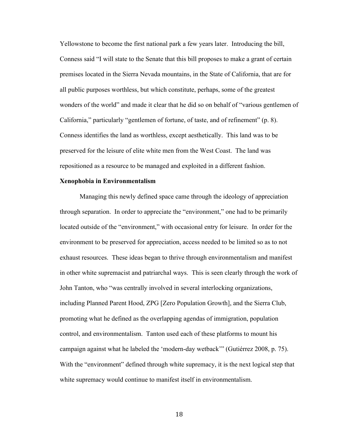Yellowstone to become the first national park a few years later. Introducing the bill, Conness said "I will state to the Senate that this bill proposes to make a grant of certain premises located in the Sierra Nevada mountains, in the State of California, that are for all public purposes worthless, but which constitute, perhaps, some of the greatest wonders of the world" and made it clear that he did so on behalf of "various gentlemen of California," particularly "gentlemen of fortune, of taste, and of refinement" (p. 8). Conness identifies the land as worthless, except aesthetically. This land was to be preserved for the leisure of elite white men from the West Coast. The land was repositioned as a resource to be managed and exploited in a different fashion.

## **Xenophobia in Environmentalism**

Managing this newly defined space came through the ideology of appreciation through separation. In order to appreciate the "environment," one had to be primarily located outside of the "environment," with occasional entry for leisure. In order for the environment to be preserved for appreciation, access needed to be limited so as to not exhaust resources. These ideas began to thrive through environmentalism and manifest in other white supremacist and patriarchal ways. This is seen clearly through the work of John Tanton, who "was centrally involved in several interlocking organizations, including Planned Parent Hood, ZPG [Zero Population Growth], and the Sierra Club, promoting what he defined as the overlapping agendas of immigration, population control, and environmentalism. Tanton used each of these platforms to mount his campaign against what he labeled the 'modern-day wetback'" (Gutiérrez 2008, p. 75). With the "environment" defined through white supremacy, it is the next logical step that white supremacy would continue to manifest itself in environmentalism.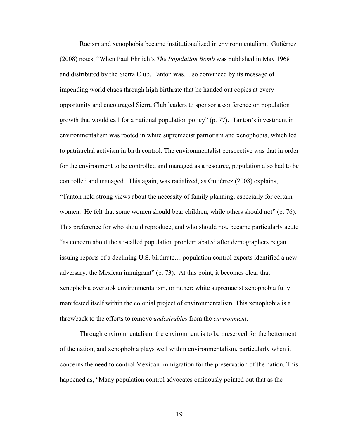Racism and xenophobia became institutionalized in environmentalism. Gutiérrez (2008) notes, "When Paul Ehrlich's *The Population Bomb* was published in May 1968 and distributed by the Sierra Club, Tanton was… so convinced by its message of impending world chaos through high birthrate that he handed out copies at every opportunity and encouraged Sierra Club leaders to sponsor a conference on population growth that would call for a national population policy" (p. 77). Tanton's investment in environmentalism was rooted in white supremacist patriotism and xenophobia, which led to patriarchal activism in birth control. The environmentalist perspective was that in order for the environment to be controlled and managed as a resource, population also had to be controlled and managed. This again, was racialized, as Gutiérrez (2008) explains, "Tanton held strong views about the necessity of family planning, especially for certain women. He felt that some women should bear children, while others should not" (p. 76). This preference for who should reproduce, and who should not, became particularly acute "as concern about the so-called population problem abated after demographers began issuing reports of a declining U.S. birthrate… population control experts identified a new adversary: the Mexican immigrant" (p. 73). At this point, it becomes clear that xenophobia overtook environmentalism, or rather; white supremacist xenophobia fully manifested itself within the colonial project of environmentalism. This xenophobia is a throwback to the efforts to remove *undesirables* from the *environment*.

Through environmentalism, the environment is to be preserved for the betterment of the nation, and xenophobia plays well within environmentalism, particularly when it concerns the need to control Mexican immigration for the preservation of the nation. This happened as, "Many population control advocates ominously pointed out that as the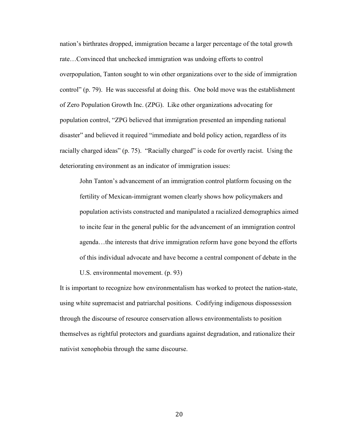nation's birthrates dropped, immigration became a larger percentage of the total growth rate…Convinced that unchecked immigration was undoing efforts to control overpopulation, Tanton sought to win other organizations over to the side of immigration control" (p. 79). He was successful at doing this. One bold move was the establishment of Zero Population Growth Inc. (ZPG). Like other organizations advocating for population control, "ZPG believed that immigration presented an impending national disaster" and believed it required "immediate and bold policy action, regardless of its racially charged ideas" (p. 75). "Racially charged" is code for overtly racist. Using the deteriorating environment as an indicator of immigration issues:

John Tanton's advancement of an immigration control platform focusing on the fertility of Mexican-immigrant women clearly shows how policymakers and population activists constructed and manipulated a racialized demographics aimed to incite fear in the general public for the advancement of an immigration control agenda…the interests that drive immigration reform have gone beyond the efforts of this individual advocate and have become a central component of debate in the

U.S. environmental movement. (p. 93)

It is important to recognize how environmentalism has worked to protect the nation-state, using white supremacist and patriarchal positions. Codifying indigenous dispossession through the discourse of resource conservation allows environmentalists to position themselves as rightful protectors and guardians against degradation, and rationalize their nativist xenophobia through the same discourse.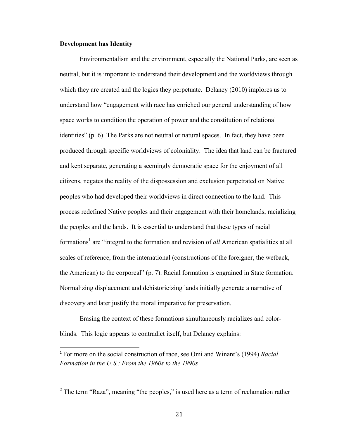## **Development has Identity**

 

Environmentalism and the environment, especially the National Parks, are seen as neutral, but it is important to understand their development and the worldviews through which they are created and the logics they perpetuate. Delaney (2010) implores us to understand how "engagement with race has enriched our general understanding of how space works to condition the operation of power and the constitution of relational identities" (p. 6). The Parks are not neutral or natural spaces. In fact, they have been produced through specific worldviews of coloniality. The idea that land can be fractured and kept separate, generating a seemingly democratic space for the enjoyment of all citizens, negates the reality of the dispossession and exclusion perpetrated on Native peoples who had developed their worldviews in direct connection to the land. This process redefined Native peoples and their engagement with their homelands, racializing the peoples and the lands. It is essential to understand that these types of racial formations<sup>1</sup> are "integral to the formation and revision of *all* American spatialities at all scales of reference, from the international (constructions of the foreigner, the wetback, the American) to the corporeal" (p. 7). Racial formation is engrained in State formation. Normalizing displacement and dehistoricizing lands initially generate a narrative of discovery and later justify the moral imperative for preservation.

Erasing the context of these formations simultaneously racializes and colorblinds. This logic appears to contradict itself, but Delaney explains:

<sup>1</sup> For more on the social construction of race, see Omi and Winant's (1994) *Racial Formation in the U.S.: From the 1960s to the 1990s*

 $2$  The term "Raza", meaning "the peoples," is used here as a term of reclamation rather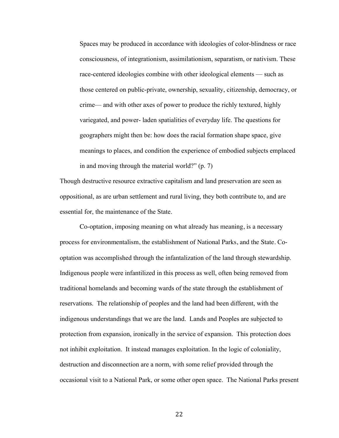Spaces may be produced in accordance with ideologies of color-blindness or race consciousness, of integrationism, assimilationism, separatism, or nativism. These race-centered ideologies combine with other ideological elements — such as those centered on public-private, ownership, sexuality, citizenship, democracy, or crime— and with other axes of power to produce the richly textured, highly variegated, and power- laden spatialities of everyday life. The questions for geographers might then be: how does the racial formation shape space, give meanings to places, and condition the experience of embodied subjects emplaced in and moving through the material world?" (p. 7)

Though destructive resource extractive capitalism and land preservation are seen as oppositional, as are urban settlement and rural living, they both contribute to, and are essential for, the maintenance of the State.

Co-optation, imposing meaning on what already has meaning, is a necessary process for environmentalism, the establishment of National Parks, and the State. Cooptation was accomplished through the infantalization of the land through stewardship. Indigenous people were infantilized in this process as well, often being removed from traditional homelands and becoming wards of the state through the establishment of reservations. The relationship of peoples and the land had been different, with the indigenous understandings that we are the land. Lands and Peoples are subjected to protection from expansion, ironically in the service of expansion. This protection does not inhibit exploitation. It instead manages exploitation. In the logic of coloniality, destruction and disconnection are a norm, with some relief provided through the occasional visit to a National Park, or some other open space. The National Parks present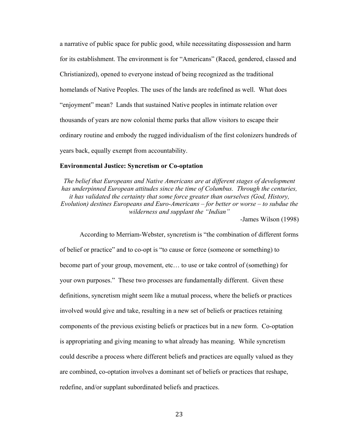a narrative of public space for public good, while necessitating dispossession and harm for its establishment. The environment is for "Americans" (Raced, gendered, classed and Christianized), opened to everyone instead of being recognized as the traditional homelands of Native Peoples. The uses of the lands are redefined as well. What does "enjoyment" mean? Lands that sustained Native peoples in intimate relation over thousands of years are now colonial theme parks that allow visitors to escape their ordinary routine and embody the rugged individualism of the first colonizers hundreds of years back, equally exempt from accountability.

## **Environmental Justice: Syncretism or Co-optation**

*The belief that Europeans and Native Americans are at different stages of development has underpinned European attitudes since the time of Columbus. Through the centuries, it has validated the certainty that some force greater than ourselves (God, History, Evolution) destines Europeans and Euro-Americans – for better or worse – to subdue the wilderness and supplant the "Indian"*

-James Wilson (1998)

According to Merriam-Webster, syncretism is "the combination of different forms of belief or practice" and to co-opt is "to cause or force (someone or something) to become part of your group, movement, etc… to use or take control of (something) for your own purposes." These two processes are fundamentally different. Given these definitions, syncretism might seem like a mutual process, where the beliefs or practices involved would give and take, resulting in a new set of beliefs or practices retaining components of the previous existing beliefs or practices but in a new form. Co-optation is appropriating and giving meaning to what already has meaning. While syncretism could describe a process where different beliefs and practices are equally valued as they are combined, co-optation involves a dominant set of beliefs or practices that reshape, redefine, and/or supplant subordinated beliefs and practices.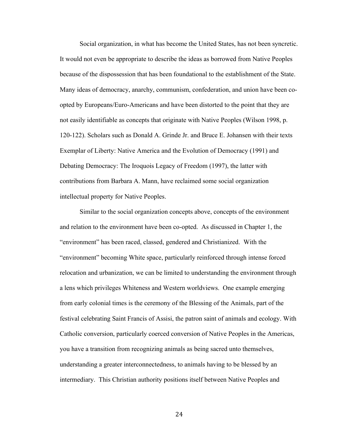Social organization, in what has become the United States, has not been syncretic. It would not even be appropriate to describe the ideas as borrowed from Native Peoples because of the dispossession that has been foundational to the establishment of the State. Many ideas of democracy, anarchy, communism, confederation, and union have been coopted by Europeans/Euro-Americans and have been distorted to the point that they are not easily identifiable as concepts that originate with Native Peoples (Wilson 1998, p. 120-122). Scholars such as Donald A. Grinde Jr. and Bruce E. Johansen with their texts Exemplar of Liberty: Native America and the Evolution of Democracy (1991) and Debating Democracy: The Iroquois Legacy of Freedom (1997), the latter with contributions from Barbara A. Mann, have reclaimed some social organization intellectual property for Native Peoples.

Similar to the social organization concepts above, concepts of the environment and relation to the environment have been co-opted. As discussed in Chapter 1, the "environment" has been raced, classed, gendered and Christianized. With the "environment" becoming White space, particularly reinforced through intense forced relocation and urbanization, we can be limited to understanding the environment through a lens which privileges Whiteness and Western worldviews. One example emerging from early colonial times is the ceremony of the Blessing of the Animals, part of the festival celebrating Saint Francis of Assisi, the patron saint of animals and ecology. With Catholic conversion, particularly coerced conversion of Native Peoples in the Americas, you have a transition from recognizing animals as being sacred unto themselves, understanding a greater interconnectedness, to animals having to be blessed by an intermediary. This Christian authority positions itself between Native Peoples and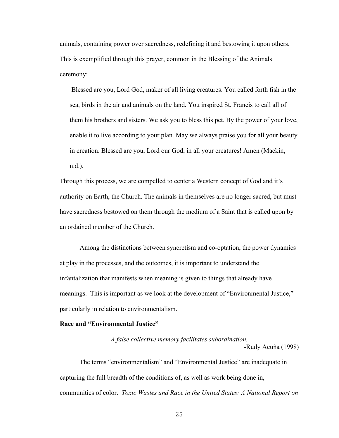animals, containing power over sacredness, redefining it and bestowing it upon others. This is exemplified through this prayer, common in the Blessing of the Animals ceremony:

Blessed are you, Lord God, maker of all living creatures. You called forth fish in the sea, birds in the air and animals on the land. You inspired St. Francis to call all of them his brothers and sisters. We ask you to bless this pet. By the power of your love, enable it to live according to your plan. May we always praise you for all your beauty in creation. Blessed are you, Lord our God, in all your creatures! Amen (Mackin, n.d.).

Through this process, we are compelled to center a Western concept of God and it's authority on Earth, the Church. The animals in themselves are no longer sacred, but must have sacredness bestowed on them through the medium of a Saint that is called upon by an ordained member of the Church.

Among the distinctions between syncretism and co-optation, the power dynamics at play in the processes, and the outcomes, it is important to understand the infantalization that manifests when meaning is given to things that already have meanings. This is important as we look at the development of "Environmental Justice," particularly in relation to environmentalism.

### **Race and "Environmental Justice"**

*A false collective memory facilitates subordination.* -Rudy Acuña (1998)

The terms "environmentalism" and "Environmental Justice" are inadequate in capturing the full breadth of the conditions of, as well as work being done in, communities of color. *Toxic Wastes and Race in the United States: A National Report on*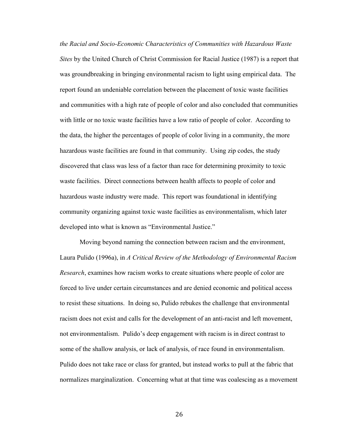*the Racial and Socio-Economic Characteristics of Communities with Hazardous Waste Sites* by the United Church of Christ Commission for Racial Justice (1987) is a report that was groundbreaking in bringing environmental racism to light using empirical data. The report found an undeniable correlation between the placement of toxic waste facilities and communities with a high rate of people of color and also concluded that communities with little or no toxic waste facilities have a low ratio of people of color. According to the data, the higher the percentages of people of color living in a community, the more hazardous waste facilities are found in that community. Using zip codes, the study discovered that class was less of a factor than race for determining proximity to toxic waste facilities. Direct connections between health affects to people of color and hazardous waste industry were made. This report was foundational in identifying community organizing against toxic waste facilities as environmentalism, which later developed into what is known as "Environmental Justice."

Moving beyond naming the connection between racism and the environment, Laura Pulido (1996a), in *A Critical Review of the Methodology of Environmental Racism Research*, examines how racism works to create situations where people of color are forced to live under certain circumstances and are denied economic and political access to resist these situations. In doing so, Pulido rebukes the challenge that environmental racism does not exist and calls for the development of an anti-racist and left movement, not environmentalism. Pulido's deep engagement with racism is in direct contrast to some of the shallow analysis, or lack of analysis, of race found in environmentalism. Pulido does not take race or class for granted, but instead works to pull at the fabric that normalizes marginalization. Concerning what at that time was coalescing as a movement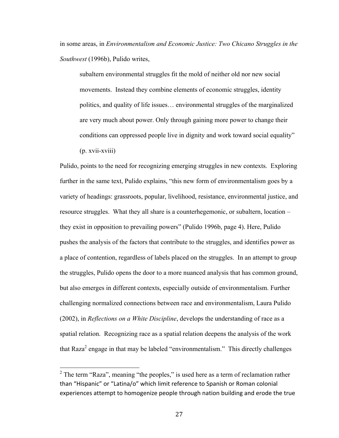in some areas, in *Environmentalism and Economic Justice: Two Chicano Struggles in the Southwest* (1996b), Pulido writes,

subaltern environmental struggles fit the mold of neither old nor new social movements. Instead they combine elements of economic struggles, identity politics, and quality of life issues… environmental struggles of the marginalized are very much about power. Only through gaining more power to change their conditions can oppressed people live in dignity and work toward social equality"  $(p. xvii-xviii)$ 

Pulido, points to the need for recognizing emerging struggles in new contexts. Exploring further in the same text, Pulido explains, "this new form of environmentalism goes by a variety of headings: grassroots, popular, livelihood, resistance, environmental justice, and resource struggles. What they all share is a counterhegemonic, or subaltern, location – they exist in opposition to prevailing powers" (Pulido 1996b, page 4). Here, Pulido pushes the analysis of the factors that contribute to the struggles, and identifies power as a place of contention, regardless of labels placed on the struggles. In an attempt to group the struggles, Pulido opens the door to a more nuanced analysis that has common ground, but also emerges in different contexts, especially outside of environmentalism. Further challenging normalized connections between race and environmentalism, Laura Pulido (2002), in *Reflections on a White Discipline*, develops the understanding of race as a spatial relation. Recognizing race as a spatial relation deepens the analysis of the work that Raza<sup>2</sup> engage in that may be labeled "environmentalism." This directly challenges

 $2^2$  The term "Raza", meaning "the peoples," is used here as a term of reclamation rather than "Hispanic" or "Latina/o" which limit reference to Spanish or Roman colonial experiences attempt to homogenize people through nation building and erode the true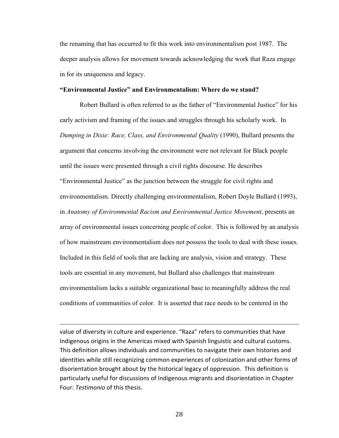the renaming that has occurred to fit this work into environmentalism post 1987. The deeper analysis allows for movement towards acknowledging the work that Raza engage in for its uniqueness and legacy.

### **"Environmental Justice" and Environmentalism: Where do we stand?**

Robert Bullard is often referred to as the father of "Environmental Justice" for his early activism and framing of the issues and struggles through his scholarly work. In *Dumping in Dixie: Race, Class, and Environmental Quality* (1990), Bullard presents the argument that concerns involving the environment were not relevant for Black people until the issues were presented through a civil rights discourse. He describes "Environmental Justice" as the junction between the struggle for civil rights and environmentalism. Directly challenging environmentalism, Robert Doyle Bullard (1993), in *Anatomy of Environmental Racism and Environmental Justice Movement*, presents an array of environmental issues concerning people of color. This is followed by an analysis of how mainstream environmentalism does not possess the tools to deal with these issues. Included in this field of tools that are lacking are analysis, vision and strategy. These tools are essential in any movement, but Bullard also challenges that mainstream environmentalism lacks a suitable organizational base to meaningfully address the real conditions of communities of color. It is asserted that race needs to be centered in the

value of diversity in culture and experience. "Raza" refers to communities that have Indigenous origins in the Americas mixed with Spanish linguistic and cultural customs. This definition allows individuals and communities to navigate their own histories and identities while still recognizing common experiences of colonization and other forms of disorientation brought about by the historical legacy of oppression. This definition is particularly useful for discussions of Indigenous migrants and disorientation in Chapter Four: *Testimonio* of this thesis.

<u> 1989 - Andrea San Andrea San Andrea San Andrea San Andrea San Andrea San Andrea San Andrea San Andrea San An</u>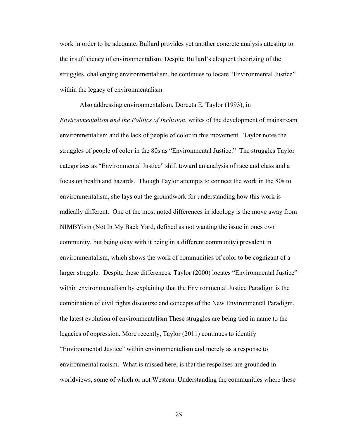work in order to be adequate. Bullard provides yet another concrete analysis attesting to the insufficiency of environmentalism. Despite Bullard's eloquent theorizing of the struggles, challenging environmentalism, he continues to locate "Environmental Justice" within the legacy of environmentalism.

Also addressing environmentalism, Dorceta E. Taylor (1993), in *Environmentalism and the Politics of Inclusion*, writes of the development of mainstream environmentalism and the lack of people of color in this movement. Taylor notes the struggles of people of color in the 80s as "Environmental Justice." The struggles Taylor categorizes as "Environmental Justice" shift toward an analysis of race and class and a focus on health and hazards. Though Taylor attempts to connect the work in the 80s to environmentalism, she lays out the groundwork for understanding how this work is radically different. One of the most noted differences in ideology is the move away from NIMBYism (Not In My Back Yard, defined as not wanting the issue in ones own community, but being okay with it being in a different community) prevalent in environmentalism, which shows the work of communities of color to be cognizant of a larger struggle. Despite these differences, Taylor (2000) locates "Environmental Justice" within environmentalism by explaining that the Environmental Justice Paradigm is the combination of civil rights discourse and concepts of the New Environmental Paradigm, the latest evolution of environmentalism These struggles are being tied in name to the legacies of oppression. More recently, Taylor (2011) continues to identify "Environmental Justice" within environmentalism and merely as a response to environmental racism. What is missed here, is that the responses are grounded in worldviews, some of which or not Western. Understanding the communities where these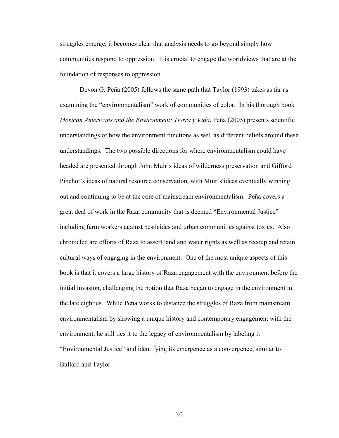struggles emerge, it becomes clear that analysis needs to go beyond simply how communities respond to oppression. It is crucial to engage the worldviews that are at the foundation of responses to oppression.

Devon G. Peña (2005) follows the same path that Taylor (1993) takes as far as examining the "environmentalism" work of communities of color. In his thorough book *Mexican Americans and the Environment: Tierra y Vida*, Peña (2005) presents scientific understandings of how the environment functions as well as different beliefs around these understandings. The two possible directions for where environmentalism could have headed are presented through John Muir's ideas of wilderness preservation and Gifford Pinchot's ideas of natural resource conservation, with Muir's ideas eventually winning out and continuing to be at the core of mainstream environmentalism. Peña covers a great deal of work in the Raza community that is deemed "Environmental Justice" including farm workers against pesticides and urban communities against toxics. Also chronicled are efforts of Raza to assert land and water rights as well as recoup and retain cultural ways of engaging in the environment. One of the most unique aspects of this book is that it covers a large history of Raza engagement with the environment before the initial invasion, challenging the notion that Raza began to engage in the environment in the late eighties. While Peña works to distance the struggles of Raza from mainstream environmentalism by showing a unique history and contemporary engagement with the environment, he still ties it to the legacy of environmentalism by labeling it "Environmental Justice" and identifying its emergence as a convergence, similar to Bullard and Taylor.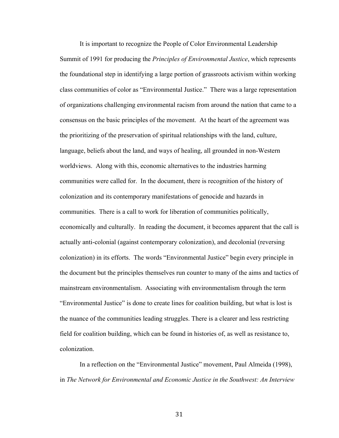It is important to recognize the People of Color Environmental Leadership Summit of 1991 for producing the *Principles of Environmental Justice*, which represents the foundational step in identifying a large portion of grassroots activism within working class communities of color as "Environmental Justice." There was a large representation of organizations challenging environmental racism from around the nation that came to a consensus on the basic principles of the movement. At the heart of the agreement was the prioritizing of the preservation of spiritual relationships with the land, culture, language, beliefs about the land, and ways of healing, all grounded in non-Western worldviews. Along with this, economic alternatives to the industries harming communities were called for. In the document, there is recognition of the history of colonization and its contemporary manifestations of genocide and hazards in communities. There is a call to work for liberation of communities politically, economically and culturally. In reading the document, it becomes apparent that the call is actually anti-colonial (against contemporary colonization), and decolonial (reversing colonization) in its efforts. The words "Environmental Justice" begin every principle in the document but the principles themselves run counter to many of the aims and tactics of mainstream environmentalism. Associating with environmentalism through the term "Environmental Justice" is done to create lines for coalition building, but what is lost is the nuance of the communities leading struggles. There is a clearer and less restricting field for coalition building, which can be found in histories of, as well as resistance to, colonization.

In a reflection on the "Environmental Justice" movement, Paul Almeida (1998), in *The Network for Environmental and Economic Justice in the Southwest: An Interview*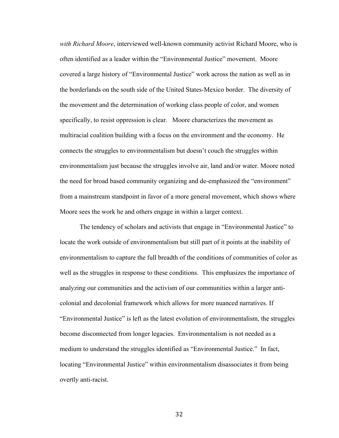*with Richard Moore*, interviewed well-known community activist Richard Moore, who is often identified as a leader within the "Environmental Justice" movement. Moore covered a large history of "Environmental Justice" work across the nation as well as in the borderlands on the south side of the United States-Mexico border. The diversity of the movement and the determination of working class people of color, and women specifically, to resist oppression is clear. Moore characterizes the movement as multiracial coalition building with a focus on the environment and the economy. He connects the struggles to environmentalism but doesn't couch the struggles within environmentalism just because the struggles involve air, land and/or water. Moore noted the need for broad based community organizing and de-emphasized the "environment" from a mainstream standpoint in favor of a more general movement, which shows where Moore sees the work he and others engage in within a larger context.

The tendency of scholars and activists that engage in "Environmental Justice" to locate the work outside of environmentalism but still part of it points at the inability of environmentalism to capture the full breadth of the conditions of communities of color as well as the struggles in response to these conditions. This emphasizes the importance of analyzing our communities and the activism of our communities within a larger anticolonial and decolonial framework which allows for more nuanced narratives. If "Environmental Justice" is left as the latest evolution of environmentalism, the struggles become disconnected from longer legacies. Environmentalism is not needed as a medium to understand the struggles identified as "Environmental Justice." In fact, locating "Environmental Justice" within environmentalism disassociates it from being overtly anti-racist.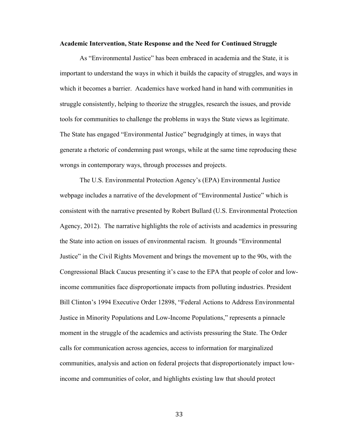### **Academic Intervention, State Response and the Need for Continued Struggle**

As "Environmental Justice" has been embraced in academia and the State, it is important to understand the ways in which it builds the capacity of struggles, and ways in which it becomes a barrier. Academics have worked hand in hand with communities in struggle consistently, helping to theorize the struggles, research the issues, and provide tools for communities to challenge the problems in ways the State views as legitimate. The State has engaged "Environmental Justice" begrudgingly at times, in ways that generate a rhetoric of condemning past wrongs, while at the same time reproducing these wrongs in contemporary ways, through processes and projects.

The U.S. Environmental Protection Agency's (EPA) Environmental Justice webpage includes a narrative of the development of "Environmental Justice" which is consistent with the narrative presented by Robert Bullard (U.S. Environmental Protection Agency, 2012). The narrative highlights the role of activists and academics in pressuring the State into action on issues of environmental racism. It grounds "Environmental Justice" in the Civil Rights Movement and brings the movement up to the 90s, with the Congressional Black Caucus presenting it's case to the EPA that people of color and lowincome communities face disproportionate impacts from polluting industries. President Bill Clinton's 1994 Executive Order 12898, "Federal Actions to Address Environmental Justice in Minority Populations and Low-Income Populations," represents a pinnacle moment in the struggle of the academics and activists pressuring the State. The Order calls for communication across agencies, access to information for marginalized communities, analysis and action on federal projects that disproportionately impact lowincome and communities of color, and highlights existing law that should protect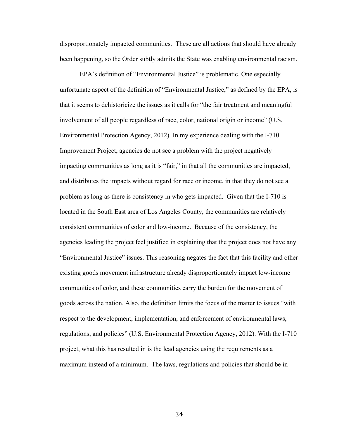disproportionately impacted communities. These are all actions that should have already been happening, so the Order subtly admits the State was enabling environmental racism.

EPA's definition of "Environmental Justice" is problematic. One especially unfortunate aspect of the definition of "Environmental Justice," as defined by the EPA, is that it seems to dehistoricize the issues as it calls for "the fair treatment and meaningful involvement of all people regardless of race, color, national origin or income" (U.S. Environmental Protection Agency, 2012). In my experience dealing with the I-710 Improvement Project, agencies do not see a problem with the project negatively impacting communities as long as it is "fair," in that all the communities are impacted, and distributes the impacts without regard for race or income, in that they do not see a problem as long as there is consistency in who gets impacted. Given that the I-710 is located in the South East area of Los Angeles County, the communities are relatively consistent communities of color and low-income. Because of the consistency, the agencies leading the project feel justified in explaining that the project does not have any "Environmental Justice" issues. This reasoning negates the fact that this facility and other existing goods movement infrastructure already disproportionately impact low-income communities of color, and these communities carry the burden for the movement of goods across the nation. Also, the definition limits the focus of the matter to issues "with respect to the development, implementation, and enforcement of environmental laws, regulations, and policies" (U.S. Environmental Protection Agency, 2012). With the I-710 project, what this has resulted in is the lead agencies using the requirements as a maximum instead of a minimum. The laws, regulations and policies that should be in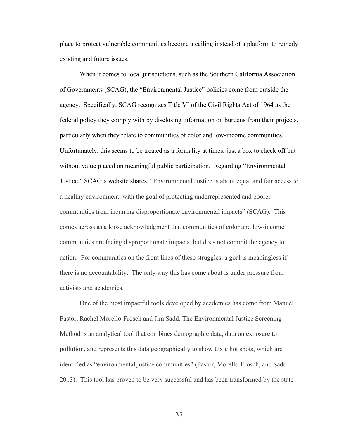place to protect vulnerable communities become a ceiling instead of a platform to remedy existing and future issues.

When it comes to local jurisdictions, such as the Southern California Association of Governments (SCAG), the "Environmental Justice" policies come from outside the agency. Specifically, SCAG recognizes Title VI of the Civil Rights Act of 1964 as the federal policy they comply with by disclosing information on burdens from their projects, particularly when they relate to communities of color and low-income communities. Unfortunately, this seems to be treated as a formality at times, just a box to check off but without value placed on meaningful public participation. Regarding "Environmental Justice," SCAG's website shares, "Environmental Justice is about equal and fair access to a healthy environment, with the goal of protecting underrepresented and poorer communities from incurring disproportionate environmental impacts" (SCAG). This comes across as a loose acknowledgment that communities of color and low-income communities are facing disproportionate impacts, but does not commit the agency to action. For communities on the front lines of these struggles, a goal is meaningless if there is no accountability. The only way this has come about is under pressure from activists and academics.

One of the most impactful tools developed by academics has come from Manuel Pastor, Rachel Morello-Frosch and Jim Sadd. The Environmental Justice Screening Method is an analytical tool that combines demographic data, data on exposure to pollution, and represents this data geographically to show toxic hot spots, which are identified as "environmental justice communities" (Pastor, Morello-Frosch, and Sadd 2013). This tool has proven to be very successful and has been transformed by the state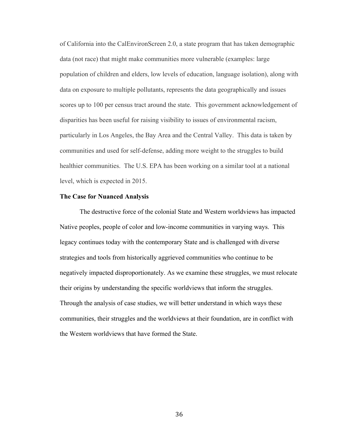of California into the CalEnvironScreen 2.0, a state program that has taken demographic data (not race) that might make communities more vulnerable (examples: large population of children and elders, low levels of education, language isolation), along with data on exposure to multiple pollutants, represents the data geographically and issues scores up to 100 per census tract around the state. This government acknowledgement of disparities has been useful for raising visibility to issues of environmental racism, particularly in Los Angeles, the Bay Area and the Central Valley. This data is taken by communities and used for self-defense, adding more weight to the struggles to build healthier communities. The U.S. EPA has been working on a similar tool at a national level, which is expected in 2015.

# **The Case for Nuanced Analysis**

The destructive force of the colonial State and Western worldviews has impacted Native peoples, people of color and low-income communities in varying ways. This legacy continues today with the contemporary State and is challenged with diverse strategies and tools from historically aggrieved communities who continue to be negatively impacted disproportionately. As we examine these struggles, we must relocate their origins by understanding the specific worldviews that inform the struggles. Through the analysis of case studies, we will better understand in which ways these communities, their struggles and the worldviews at their foundation, are in conflict with the Western worldviews that have formed the State.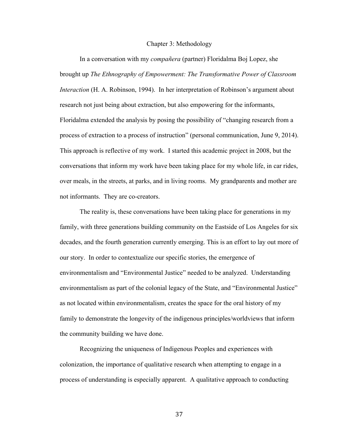#### Chapter 3: Methodology

In a conversation with my *compañera* (partner) Floridalma Boj Lopez, she brought up *The Ethnography of Empowerment: The Transformative Power of Classroom Interaction* (H. A. Robinson, 1994). In her interpretation of Robinson's argument about research not just being about extraction, but also empowering for the informants, Floridalma extended the analysis by posing the possibility of "changing research from a process of extraction to a process of instruction" (personal communication, June 9, 2014). This approach is reflective of my work. I started this academic project in 2008, but the conversations that inform my work have been taking place for my whole life, in car rides, over meals, in the streets, at parks, and in living rooms. My grandparents and mother are not informants. They are co-creators.

The reality is, these conversations have been taking place for generations in my family, with three generations building community on the Eastside of Los Angeles for six decades, and the fourth generation currently emerging. This is an effort to lay out more of our story. In order to contextualize our specific stories, the emergence of environmentalism and "Environmental Justice" needed to be analyzed. Understanding environmentalism as part of the colonial legacy of the State, and "Environmental Justice" as not located within environmentalism, creates the space for the oral history of my family to demonstrate the longevity of the indigenous principles/worldviews that inform the community building we have done.

Recognizing the uniqueness of Indigenous Peoples and experiences with colonization, the importance of qualitative research when attempting to engage in a process of understanding is especially apparent. A qualitative approach to conducting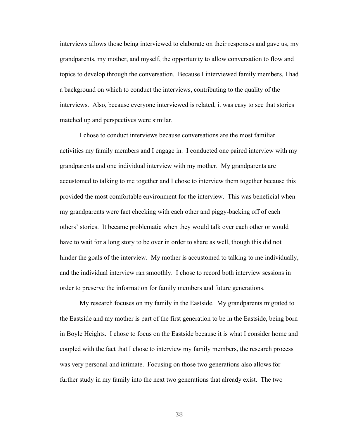interviews allows those being interviewed to elaborate on their responses and gave us, my grandparents, my mother, and myself, the opportunity to allow conversation to flow and topics to develop through the conversation. Because I interviewed family members, I had a background on which to conduct the interviews, contributing to the quality of the interviews. Also, because everyone interviewed is related, it was easy to see that stories matched up and perspectives were similar.

I chose to conduct interviews because conversations are the most familiar activities my family members and I engage in. I conducted one paired interview with my grandparents and one individual interview with my mother. My grandparents are accustomed to talking to me together and I chose to interview them together because this provided the most comfortable environment for the interview. This was beneficial when my grandparents were fact checking with each other and piggy-backing off of each others' stories. It became problematic when they would talk over each other or would have to wait for a long story to be over in order to share as well, though this did not hinder the goals of the interview. My mother is accustomed to talking to me individually, and the individual interview ran smoothly. I chose to record both interview sessions in order to preserve the information for family members and future generations.

My research focuses on my family in the Eastside. My grandparents migrated to the Eastside and my mother is part of the first generation to be in the Eastside, being born in Boyle Heights. I chose to focus on the Eastside because it is what I consider home and coupled with the fact that I chose to interview my family members, the research process was very personal and intimate. Focusing on those two generations also allows for further study in my family into the next two generations that already exist. The two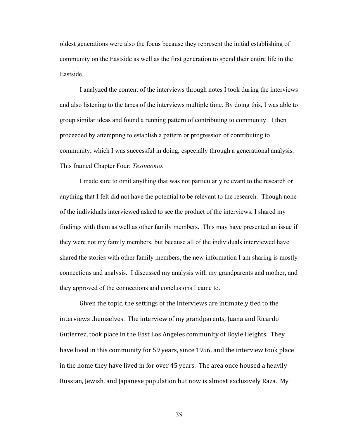oldest generations were also the focus because they represent the initial establishing of community on the Eastside as well as the first generation to spend their entire life in the Eastside.

I analyzed the content of the interviews through notes I took during the interviews and also listening to the tapes of the interviews multiple time. By doing this, I was able to group similar ideas and found a running pattern of contributing to community. I then proceeded by attempting to establish a pattern or progression of contributing to community, which I was successful in doing, especially through a generational analysis. This framed Chapter Four: *Testimonio*.

I made sure to omit anything that was not particularly relevant to the research or anything that I felt did not have the potential to be relevant to the research. Though none of the individuals interviewed asked to see the product of the interviews, I shared my findings with them as well as other family members. This may have presented an issue if they were not my family members, but because all of the individuals interviewed have shared the stories with other family members, the new information I am sharing is mostly connections and analysis. I discussed my analysis with my grandparents and mother, and they approved of the connections and conclusions I came to.

Given the topic, the settings of the interviews are intimately tied to the interviews themselves. The interview of my grandparents, Juana and Ricardo Gutierrez, took place in the East Los Angeles community of Boyle Heights. They have lived in this community for 59 years, since 1956, and the interview took place in the home they have lived in for over 45 years. The area once housed a heavily Russian, Jewish, and Japanese population but now is almost exclusively Raza. My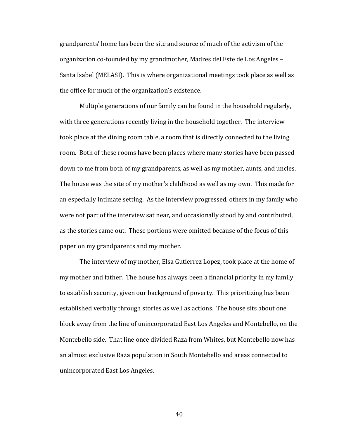grandparents' home has been the site and source of much of the activism of the organization co-founded by my grandmother, Madres del Este de Los Angeles – Santa Isabel (MELASI). This is where organizational meetings took place as well as the office for much of the organization's existence.

Multiple generations of our family can be found in the household regularly, with three generations recently living in the household together. The interview took place at the dining room table, a room that is directly connected to the living room. Both of these rooms have been places where many stories have been passed down to me from both of my grandparents, as well as my mother, aunts, and uncles. The house was the site of my mother's childhood as well as my own. This made for an especially intimate setting. As the interview progressed, others in my family who were not part of the interview sat near, and occasionally stood by and contributed, as the stories came out. These portions were omitted because of the focus of this paper on my grandparents and my mother.

The interview of my mother, Elsa Gutierrez Lopez, took place at the home of my mother and father. The house has always been a financial priority in my family to establish security, given our background of poverty. This prioritizing has been established verbally through stories as well as actions. The house sits about one block away from the line of unincorporated East Los Angeles and Montebello, on the Montebello side. That line once divided Raza from Whites, but Montebello now has an almost exclusive Raza population in South Montebello and areas connected to unincorporated East Los Angeles.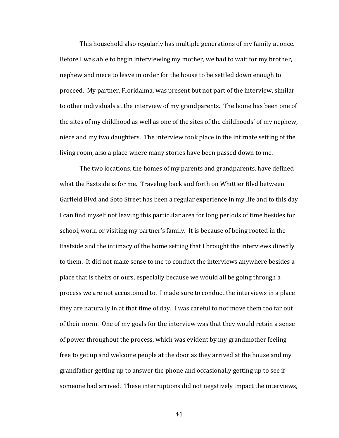This household also regularly has multiple generations of my family at once. Before I was able to begin interviewing my mother, we had to wait for my brother, nephew and niece to leave in order for the house to be settled down enough to proceed. My partner, Floridalma, was present but not part of the interview, similar to other individuals at the interview of my grandparents. The home has been one of the sites of my childhood as well as one of the sites of the childhoods' of my nephew, niece and my two daughters. The interview took place in the intimate setting of the living room, also a place where many stories have been passed down to me.

The two locations, the homes of my parents and grandparents, have defined what the Eastside is for me. Traveling back and forth on Whittier Blyd between Garfield Blvd and Soto Street has been a regular experience in my life and to this day I can find myself not leaving this particular area for long periods of time besides for school, work, or visiting my partner's family. It is because of being rooted in the Eastside and the intimacy of the home setting that I brought the interviews directly to them. It did not make sense to me to conduct the interviews anywhere besides a place that is theirs or ours, especially because we would all be going through a process we are not accustomed to. I made sure to conduct the interviews in a place they are naturally in at that time of day. I was careful to not move them too far out of their norm. One of my goals for the interview was that they would retain a sense of power throughout the process, which was evident by my grandmother feeling free to get up and welcome people at the door as they arrived at the house and my grandfather getting up to answer the phone and occasionally getting up to see if someone had arrived. These interruptions did not negatively impact the interviews,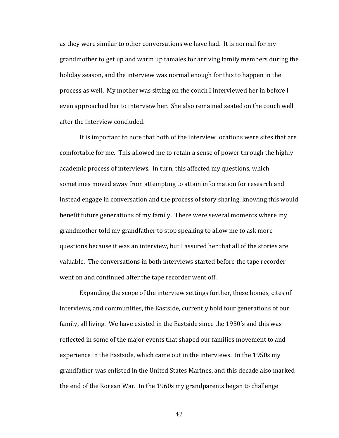as they were similar to other conversations we have had. It is normal for my grandmother to get up and warm up tamales for arriving family members during the holiday season, and the interview was normal enough for this to happen in the process as well. My mother was sitting on the couch I interviewed her in before I even approached her to interview her. She also remained seated on the couch well after the interview concluded.

It is important to note that both of the interview locations were sites that are comfortable for me. This allowed me to retain a sense of power through the highly academic process of interviews. In turn, this affected my questions, which sometimes moved away from attempting to attain information for research and instead engage in conversation and the process of story sharing, knowing this would benefit future generations of my family. There were several moments where my grandmother told my grandfather to stop speaking to allow me to ask more questions because it was an interview, but I assured her that all of the stories are valuable. The conversations in both interviews started before the tape recorder went on and continued after the tape recorder went off.

Expanding the scope of the interview settings further, these homes, cites of interviews, and communities, the Eastside, currently hold four generations of our family, all living. We have existed in the Eastside since the 1950's and this was reflected in some of the major events that shaped our families movement to and experience in the Eastside, which came out in the interviews. In the 1950s my grandfather was enlisted in the United States Marines, and this decade also marked the end of the Korean War. In the 1960s my grandparents began to challenge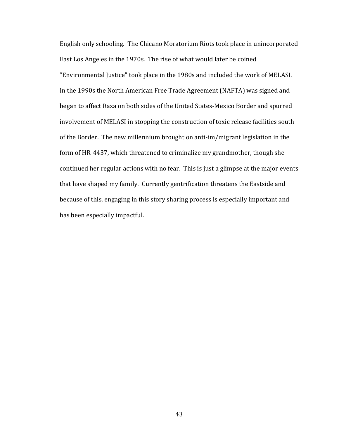English only schooling. The Chicano Moratorium Riots took place in unincorporated East Los Angeles in the 1970s. The rise of what would later be coined "Environmental Justice" took place in the 1980s and included the work of MELASI. In the 1990s the North American Free Trade Agreement (NAFTA) was signed and began to affect Raza on both sides of the United States-Mexico Border and spurred involvement of MELASI in stopping the construction of toxic release facilities south of the Border. The new millennium brought on anti-im/migrant legislation in the form of HR-4437, which threatened to criminalize my grandmother, though she continued her regular actions with no fear. This is just a glimpse at the major events that have shaped my family. Currently gentrification threatens the Eastside and because of this, engaging in this story sharing process is especially important and has been especially impactful.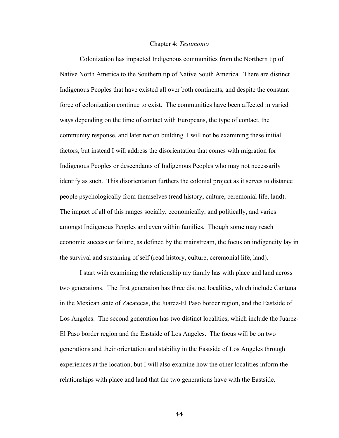#### Chapter 4: *Testimonio*

Colonization has impacted Indigenous communities from the Northern tip of Native North America to the Southern tip of Native South America. There are distinct Indigenous Peoples that have existed all over both continents, and despite the constant force of colonization continue to exist. The communities have been affected in varied ways depending on the time of contact with Europeans, the type of contact, the community response, and later nation building. I will not be examining these initial factors, but instead I will address the disorientation that comes with migration for Indigenous Peoples or descendants of Indigenous Peoples who may not necessarily identify as such. This disorientation furthers the colonial project as it serves to distance people psychologically from themselves (read history, culture, ceremonial life, land). The impact of all of this ranges socially, economically, and politically, and varies amongst Indigenous Peoples and even within families. Though some may reach economic success or failure, as defined by the mainstream, the focus on indigeneity lay in the survival and sustaining of self (read history, culture, ceremonial life, land).

I start with examining the relationship my family has with place and land across two generations. The first generation has three distinct localities, which include Cantuna in the Mexican state of Zacatecas, the Juarez-El Paso border region, and the Eastside of Los Angeles. The second generation has two distinct localities, which include the Juarez-El Paso border region and the Eastside of Los Angeles. The focus will be on two generations and their orientation and stability in the Eastside of Los Angeles through experiences at the location, but I will also examine how the other localities inform the relationships with place and land that the two generations have with the Eastside.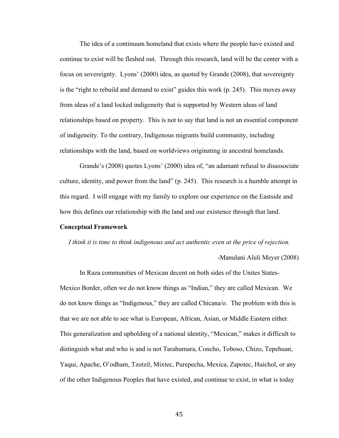The idea of a continuum homeland that exists where the people have existed and continue to exist will be fleshed out. Through this research, land will be the center with a focus on sovereignty. Lyons' (2000) idea, as quoted by Grande (2008), that sovereignty is the "right to rebuild and demand to exist" guides this work (p. 245). This moves away from ideas of a land locked indigeneity that is supported by Western ideas of land relationships based on property. This is not to say that land is not an essential component of indigeneity. To the contrary, Indigenous migrants build community, including relationships with the land, based on worldviews originating in ancestral homelands.

Grande's (2008) quotes Lyons' (2000) idea of, "an adamant refusal to disassociate culture, identity, and power from the land" (p. 245). This research is a humble attempt in this regard. I will engage with my family to explore our experience on the Eastside and how this defines our relationship with the land and our existence through that land.

### **Conceptual Framework**

*I think it is time to think indigenous and act authentic even at the price of rejection.*

-Manulani Aluli Meyer (2008)

In Raza communities of Mexican decent on both sides of the Unites States-Mexico Border, often we do not know things as "Indian," they are called Mexican. We do not know things as "Indigenous," they are called Chicana/o. The problem with this is that we are not able to see what is European, African, Asian, or Middle Eastern either. This generalization and upholding of a national identity, "Mexican," makes it difficult to distinguish what and who is and is not Tarahumara, Concho, Toboso, Chizo, Tepehuan, Yaqui, Apache, O'odham, Tzotzil, Mixtec, Purepecha, Mexica, Zapotec, Huichol, or any of the other Indigenous Peoples that have existed, and continue to exist, in what is today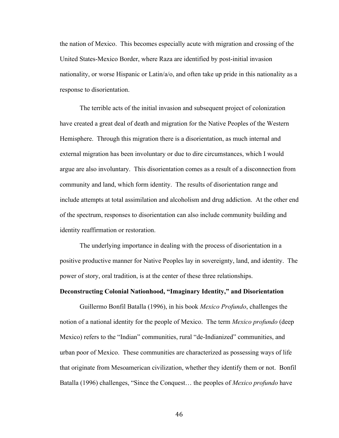the nation of Mexico. This becomes especially acute with migration and crossing of the United States-Mexico Border, where Raza are identified by post-initial invasion nationality, or worse Hispanic or Latin/a/o, and often take up pride in this nationality as a response to disorientation.

The terrible acts of the initial invasion and subsequent project of colonization have created a great deal of death and migration for the Native Peoples of the Western Hemisphere. Through this migration there is a disorientation, as much internal and external migration has been involuntary or due to dire circumstances, which I would argue are also involuntary. This disorientation comes as a result of a disconnection from community and land, which form identity. The results of disorientation range and include attempts at total assimilation and alcoholism and drug addiction. At the other end of the spectrum, responses to disorientation can also include community building and identity reaffirmation or restoration.

The underlying importance in dealing with the process of disorientation in a positive productive manner for Native Peoples lay in sovereignty, land, and identity. The power of story, oral tradition, is at the center of these three relationships.

# **Deconstructing Colonial Nationhood, "Imaginary Identity," and Disorientation**

Guillermo Bonfil Batalla (1996), in his book *Mexico Profundo*, challenges the notion of a national identity for the people of Mexico. The term *Mexico profundo* (deep Mexico) refers to the "Indian" communities, rural "de-Indianized" communities, and urban poor of Mexico. These communities are characterized as possessing ways of life that originate from Mesoamerican civilization, whether they identify them or not. Bonfil Batalla (1996) challenges, "Since the Conquest… the peoples of *Mexico profundo* have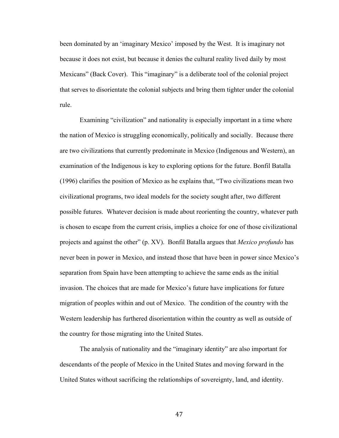been dominated by an 'imaginary Mexico' imposed by the West. It is imaginary not because it does not exist, but because it denies the cultural reality lived daily by most Mexicans" (Back Cover). This "imaginary" is a deliberate tool of the colonial project that serves to disorientate the colonial subjects and bring them tighter under the colonial rule.

Examining "civilization" and nationality is especially important in a time where the nation of Mexico is struggling economically, politically and socially. Because there are two civilizations that currently predominate in Mexico (Indigenous and Western), an examination of the Indigenous is key to exploring options for the future. Bonfil Batalla (1996) clarifies the position of Mexico as he explains that, "Two civilizations mean two civilizational programs, two ideal models for the society sought after, two different possible futures. Whatever decision is made about reorienting the country, whatever path is chosen to escape from the current crisis, implies a choice for one of those civilizational projects and against the other" (p. XV). Bonfil Batalla argues that *Mexico profundo* has never been in power in Mexico, and instead those that have been in power since Mexico's separation from Spain have been attempting to achieve the same ends as the initial invasion. The choices that are made for Mexico's future have implications for future migration of peoples within and out of Mexico. The condition of the country with the Western leadership has furthered disorientation within the country as well as outside of the country for those migrating into the United States.

The analysis of nationality and the "imaginary identity" are also important for descendants of the people of Mexico in the United States and moving forward in the United States without sacrificing the relationships of sovereignty, land, and identity.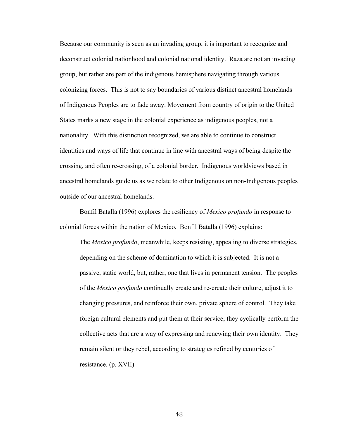Because our community is seen as an invading group, it is important to recognize and deconstruct colonial nationhood and colonial national identity. Raza are not an invading group, but rather are part of the indigenous hemisphere navigating through various colonizing forces. This is not to say boundaries of various distinct ancestral homelands of Indigenous Peoples are to fade away. Movement from country of origin to the United States marks a new stage in the colonial experience as indigenous peoples, not a nationality. With this distinction recognized, we are able to continue to construct identities and ways of life that continue in line with ancestral ways of being despite the crossing, and often re-crossing, of a colonial border. Indigenous worldviews based in ancestral homelands guide us as we relate to other Indigenous on non-Indigenous peoples outside of our ancestral homelands.

Bonfil Batalla (1996) explores the resiliency of *Mexico profundo* in response to colonial forces within the nation of Mexico. Bonfil Batalla (1996) explains:

The *Mexico profundo*, meanwhile, keeps resisting, appealing to diverse strategies, depending on the scheme of domination to which it is subjected. It is not a passive, static world, but, rather, one that lives in permanent tension. The peoples of the *Mexico profundo* continually create and re-create their culture, adjust it to changing pressures, and reinforce their own, private sphere of control. They take foreign cultural elements and put them at their service; they cyclically perform the collective acts that are a way of expressing and renewing their own identity. They remain silent or they rebel, according to strategies refined by centuries of resistance. (p. XVII)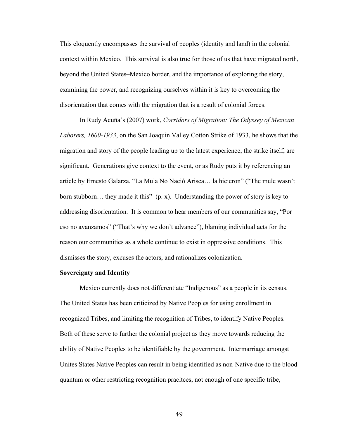This eloquently encompasses the survival of peoples (identity and land) in the colonial context within Mexico. This survival is also true for those of us that have migrated north, beyond the United States–Mexico border, and the importance of exploring the story, examining the power, and recognizing ourselves within it is key to overcoming the disorientation that comes with the migration that is a result of colonial forces.

In Rudy Acuña's (2007) work, *Corridors of Migration: The Odyssey of Mexican Laborers, 1600-1933*, on the San Joaquin Valley Cotton Strike of 1933, he shows that the migration and story of the people leading up to the latest experience, the strike itself, are significant. Generations give context to the event, or as Rudy puts it by referencing an article by Ernesto Galarza, "La Mula No Nació Arisca… la hicieron" ("The mule wasn't born stubborn… they made it this" (p. x). Understanding the power of story is key to addressing disorientation. It is common to hear members of our communities say, "Por eso no avanzamos" ("That's why we don't advance"), blaming individual acts for the reason our communities as a whole continue to exist in oppressive conditions. This dismisses the story, excuses the actors, and rationalizes colonization.

# **Sovereignty and Identity**

Mexico currently does not differentiate "Indigenous" as a people in its census. The United States has been criticized by Native Peoples for using enrollment in recognized Tribes, and limiting the recognition of Tribes, to identify Native Peoples. Both of these serve to further the colonial project as they move towards reducing the ability of Native Peoples to be identifiable by the government. Intermarriage amongst Unites States Native Peoples can result in being identified as non-Native due to the blood quantum or other restricting recognition pracitces, not enough of one specific tribe,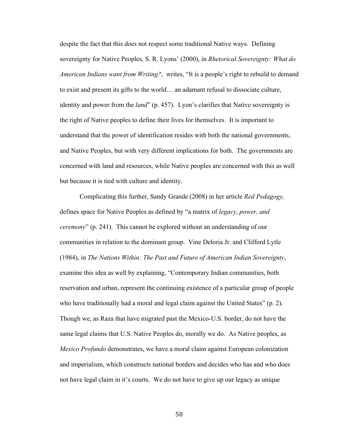despite the fact that this does not respect some traditional Native ways. Defining sovereignty for Native Peoples, S. R. Lyons' (2000), in *Rhetorical Sovereignty: What do American Indians want from Writing?*, writes, "It is a people's right to rebuild to demand to exist and present its gifts to the world… an adamant refusal to dissociate culture, identity and power from the *land*" (p. 457). Lyon's clarifies that Native sovereignty is the right of Native peoples to define their lives for themselves. It is important to understand that the power of identification resides with both the national governments, and Native Peoples, but with very different implications for both. The governments are concerned with land and resources, while Native peoples are concerned with this as well but because it is tied with culture and identity.

Complicating this further, Sandy Grande (2008) in her article *Red Pedagogy,* defines space for Native Peoples as defined by "a matrix of *legacy, power, and ceremony*" (p. 241). This cannot be explored without an understanding of our communities in relation to the dominant group.Vine Deloria Jr. and Clifford Lytle (1984), in *The Nations Within: The Past and Future of American Indian Sovereignty*, examine this idea as well by explaining, "Contemporary Indian communities, both reservation and urban, represent the continuing existence of a particular group of people who have traditionally had a moral and legal claim against the United States" (p. 2). Though we, as Raza that have migrated past the Mexico-U.S. border, do not have the same legal claims that U.S. Native Peoples do, morally we do. As Native peoples, as *Mexico Profundo* demonstrates, we have a moral claim against European colonization and imperialism, which constructs national borders and decides who has and who does not have legal claim in it's courts. We do not have to give up our legacy as unique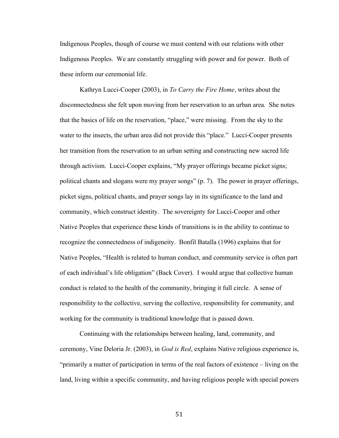Indigenous Peoples, though of course we must contend with our relations with other Indigenous Peoples. We are constantly struggling with power and for power. Both of these inform our ceremonial life.

Kathryn Lucci-Cooper (2003), in *To Carry the Fire Home*, writes about the disconnectedness she felt upon moving from her reservation to an urban area. She notes that the basics of life on the reservation, "place," were missing. From the sky to the water to the insects, the urban area did not provide this "place." Lucci-Cooper presents her transition from the reservation to an urban setting and constructing new sacred life through activism. Lucci-Cooper explains, "My prayer offerings became picket signs; political chants and slogans were my prayer songs" (p. 7). The power in prayer offerings, picket signs, political chants, and prayer songs lay in its significance to the land and community, which construct identity. The sovereignty for Lucci-Cooper and other Native Peoples that experience these kinds of transitions is in the ability to continue to recognize the connectedness of indigeneity. Bonfil Batalla (1996) explains that for Native Peoples, "Health is related to human conduct, and community service is often part of each individual's life obligation" (Back Cover). I would argue that collective human conduct is related to the health of the community, bringing it full circle. A sense of responsibility to the collective, serving the collective, responsibility for community, and working for the community is traditional knowledge that is passed down.

Continuing with the relationships between healing, land, community, and ceremony, Vine Deloria Jr. (2003), in *God is Red*, explains Native religious experience is, "primarily a matter of participation in terms of the real factors of existence – living on the land, living within a specific community, and having religious people with special powers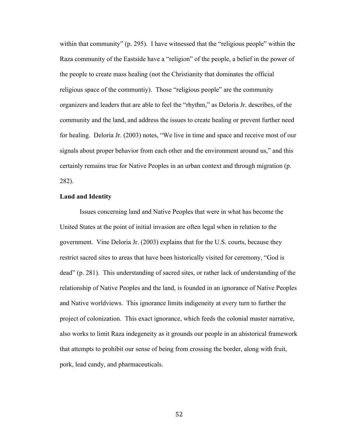within that community" (p. 295). I have witnessed that the "religious people" within the Raza community of the Eastside have a "religion" of the people, a belief in the power of the people to create mass healing (not the Christianity that dominates the official religious space of the communtiy). Those "religious people" are the community organizers and leaders that are able to feel the "rhythm," as Deloria Jr. describes, of the community and the land, and address the issues to create healing or prevent further need for healing. Deloria Jr. (2003) notes, "We live in time and space and receive most of our signals about proper behavior from each other and the environment around us," and this certainly remains true for Native Peoples in an urban context and through migration (p. 282).

### **Land and Identity**

Issues concerning land and Native Peoples that were in what has become the United States at the point of initial invasion are often legal when in relation to the government. Vine Deloria Jr. (2003) explains that for the U.S. courts, because they restrict sacred sites to areas that have been historically visited for ceremony, "God is dead" (p. 281). This understanding of sacred sites, or rather lack of understanding of the relationship of Native Peoples and the land, is founded in an ignorance of Native Peoples and Native worldviews. This ignorance limits indigeneity at every turn to further the project of colonization. This exact ignorance, which feeds the colonial master narrative, also works to limit Raza indegeneity as it grounds our people in an ahistorical framework that attempts to prohibit our sense of being from crossing the border, along with fruit, pork, lead candy, and pharmaceuticals.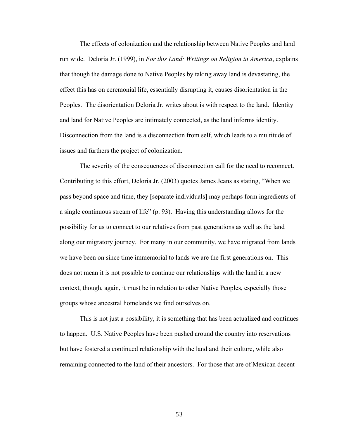The effects of colonization and the relationship between Native Peoples and land run wide. Deloria Jr. (1999), in *For this Land: Writings on Religion in America*, explains that though the damage done to Native Peoples by taking away land is devastating, the effect this has on ceremonial life, essentially disrupting it, causes disorientation in the Peoples. The disorientation Deloria Jr. writes about is with respect to the land. Identity and land for Native Peoples are intimately connected, as the land informs identity. Disconnection from the land is a disconnection from self, which leads to a multitude of issues and furthers the project of colonization.

The severity of the consequences of disconnection call for the need to reconnect. Contributing to this effort, Deloria Jr. (2003) quotes James Jeans as stating, "When we pass beyond space and time, they [separate individuals] may perhaps form ingredients of a single continuous stream of life" (p. 93). Having this understanding allows for the possibility for us to connect to our relatives from past generations as well as the land along our migratory journey. For many in our community, we have migrated from lands we have been on since time immemorial to lands we are the first generations on. This does not mean it is not possible to continue our relationships with the land in a new context, though, again, it must be in relation to other Native Peoples, especially those groups whose ancestral homelands we find ourselves on.

This is not just a possibility, it is something that has been actualized and continues to happen. U.S. Native Peoples have been pushed around the country into reservations but have fostered a continued relationship with the land and their culture, while also remaining connected to the land of their ancestors. For those that are of Mexican decent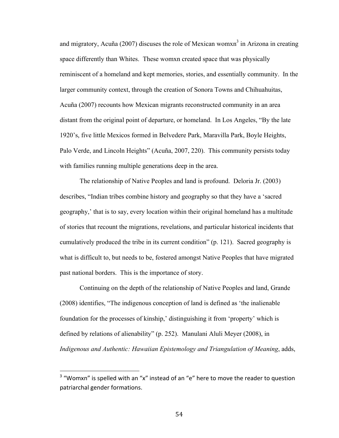and migratory, Acuña (2007) discuses the role of Mexican wom $x<sup>3</sup>$  in Arizona in creating space differently than Whites. These womxn created space that was physically reminiscent of a homeland and kept memories, stories, and essentially community. In the larger community context, through the creation of Sonora Towns and Chihuahuitas, Acuña (2007) recounts how Mexican migrants reconstructed community in an area distant from the original point of departure, or homeland. In Los Angeles, "By the late 1920's, five little Mexicos formed in Belvedere Park, Maravilla Park, Boyle Heights, Palo Verde, and Lincoln Heights" (Acuña, 2007, 220). This community persists today with families running multiple generations deep in the area.

The relationship of Native Peoples and land is profound. Deloria Jr. (2003) describes, "Indian tribes combine history and geography so that they have a 'sacred geography,' that is to say, every location within their original homeland has a multitude of stories that recount the migrations, revelations, and particular historical incidents that cumulatively produced the tribe in its current condition" (p. 121). Sacred geography is what is difficult to, but needs to be, fostered amongst Native Peoples that have migrated past national borders. This is the importance of story.

Continuing on the depth of the relationship of Native Peoples and land, Grande (2008) identifies, "The indigenous conception of land is defined as 'the inalienable foundation for the processes of kinship,' distinguishing it from 'property' which is defined by relations of alienability" (p. 252). Manulani Aluli Meyer (2008), in *Indigenous and Authentic: Hawaiian Epistemology and Triangulation of Meaning*, adds,

 $3$  "Womxn" is spelled with an "x" instead of an "e" here to move the reader to question patriarchal gender formations.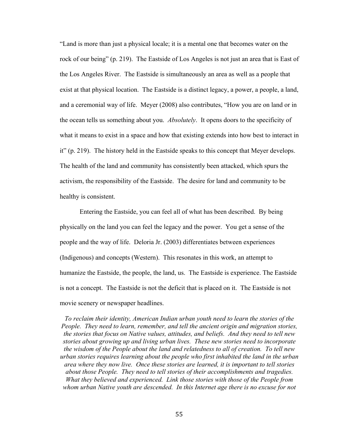"Land is more than just a physical locale; it is a mental one that becomes water on the rock of our being" (p. 219). The Eastside of Los Angeles is not just an area that is East of the Los Angeles River. The Eastside is simultaneously an area as well as a people that exist at that physical location. The Eastside is a distinct legacy, a power, a people, a land, and a ceremonial way of life. Meyer (2008) also contributes, "How you are on land or in the ocean tells us something about you. *Absolutely*. It opens doors to the specificity of what it means to exist in a space and how that existing extends into how best to interact in it" (p. 219). The history held in the Eastside speaks to this concept that Meyer develops. The health of the land and community has consistently been attacked, which spurs the activism, the responsibility of the Eastside. The desire for land and community to be healthy is consistent.

Entering the Eastside, you can feel all of what has been described. By being physically on the land you can feel the legacy and the power. You get a sense of the people and the way of life. Deloria Jr. (2003) differentiates between experiences (Indigenous) and concepts (Western). This resonates in this work, an attempt to humanize the Eastside, the people, the land, us. The Eastside is experience. The Eastside is not a concept. The Eastside is not the deficit that is placed on it. The Eastside is not movie scenery or newspaper headlines.

*To reclaim their identity, American Indian urban youth need to learn the stories of the People. They need to learn, remember, and tell the ancient origin and migration stories, the stories that focus on Native values, attitudes, and beliefs. And they need to tell new stories about growing up and living urban lives. These new stories need to incorporate the wisdom of the People about the land and relatedness to all of creation. To tell new urban stories requires learning about the people who first inhabited the land in the urban area where they now live. Once these stories are learned, it is important to tell stories about those People. They need to tell stories of their accomplishments and tragedies. What they believed and experienced. Link those stories with those of the People from whom urban Native youth are descended. In this Internet age there is no excuse for not*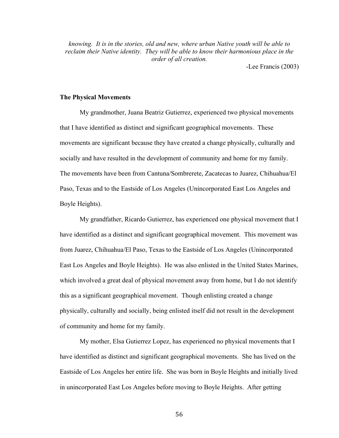*knowing. It is in the stories, old and new, where urban Native youth will be able to reclaim their Native identity. They will be able to know their harmonious place in the order of all creation.*

-Lee Francis (2003)

# **The Physical Movements**

My grandmother, Juana Beatriz Gutierrez, experienced two physical movements that I have identified as distinct and significant geographical movements. These movements are significant because they have created a change physically, culturally and socially and have resulted in the development of community and home for my family. The movements have been from Cantuna/Sombrerete, Zacatecas to Juarez, Chihuahua/El Paso, Texas and to the Eastside of Los Angeles (Unincorporated East Los Angeles and Boyle Heights).

My grandfather, Ricardo Gutierrez, has experienced one physical movement that I have identified as a distinct and significant geographical movement. This movement was from Juarez, Chihuahua/El Paso, Texas to the Eastside of Los Angeles (Unincorporated East Los Angeles and Boyle Heights). He was also enlisted in the United States Marines, which involved a great deal of physical movement away from home, but I do not identify this as a significant geographical movement. Though enlisting created a change physically, culturally and socially, being enlisted itself did not result in the development of community and home for my family.

My mother, Elsa Gutierrez Lopez, has experienced no physical movements that I have identified as distinct and significant geographical movements. She has lived on the Eastside of Los Angeles her entire life. She was born in Boyle Heights and initially lived in unincorporated East Los Angeles before moving to Boyle Heights. After getting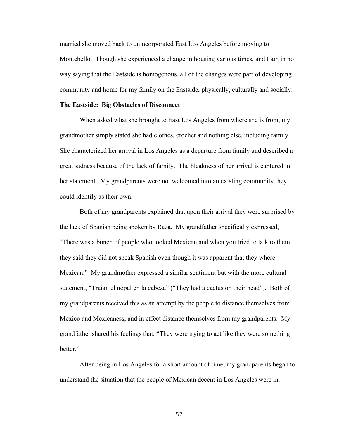married she moved back to unincorporated East Los Angeles before moving to Montebello. Though she experienced a change in housing various times, and I am in no way saying that the Eastside is homogenous, all of the changes were part of developing community and home for my family on the Eastside, physically, culturally and socially.

### **The Eastside: Big Obstacles of Disconnect**

When asked what she brought to East Los Angeles from where she is from, my grandmother simply stated she had clothes, crochet and nothing else, including family. She characterized her arrival in Los Angeles as a departure from family and described a great sadness because of the lack of family. The bleakness of her arrival is captured in her statement. My grandparents were not welcomed into an existing community they could identify as their own.

Both of my grandparents explained that upon their arrival they were surprised by the lack of Spanish being spoken by Raza. My grandfather specifically expressed, "There was a bunch of people who looked Mexican and when you tried to talk to them they said they did not speak Spanish even though it was apparent that they where Mexican." My grandmother expressed a similar sentiment but with the more cultural statement, "Traían el nopal en la cabeza" ("They had a cactus on their head"). Both of my grandparents received this as an attempt by the people to distance themselves from Mexico and Mexicaness, and in effect distance themselves from my grandparents. My grandfather shared his feelings that, "They were trying to act like they were something better."

After being in Los Angeles for a short amount of time, my grandparents began to understand the situation that the people of Mexican decent in Los Angeles were in.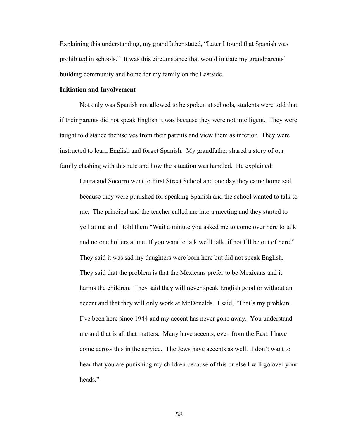Explaining this understanding, my grandfather stated, "Later I found that Spanish was prohibited in schools." It was this circumstance that would initiate my grandparents' building community and home for my family on the Eastside.

# **Initiation and Involvement**

Not only was Spanish not allowed to be spoken at schools, students were told that if their parents did not speak English it was because they were not intelligent. They were taught to distance themselves from their parents and view them as inferior. They were instructed to learn English and forget Spanish. My grandfather shared a story of our family clashing with this rule and how the situation was handled. He explained:

Laura and Socorro went to First Street School and one day they came home sad because they were punished for speaking Spanish and the school wanted to talk to me. The principal and the teacher called me into a meeting and they started to yell at me and I told them "Wait a minute you asked me to come over here to talk and no one hollers at me. If you want to talk we'll talk, if not I'll be out of here." They said it was sad my daughters were born here but did not speak English. They said that the problem is that the Mexicans prefer to be Mexicans and it harms the children. They said they will never speak English good or without an accent and that they will only work at McDonalds. I said, "That's my problem. I've been here since 1944 and my accent has never gone away. You understand me and that is all that matters. Many have accents, even from the East. I have come across this in the service. The Jews have accents as well. I don't want to hear that you are punishing my children because of this or else I will go over your heads."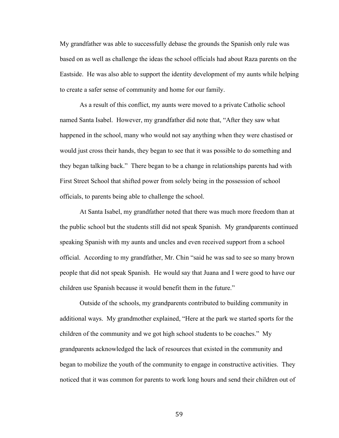My grandfather was able to successfully debase the grounds the Spanish only rule was based on as well as challenge the ideas the school officials had about Raza parents on the Eastside. He was also able to support the identity development of my aunts while helping to create a safer sense of community and home for our family.

As a result of this conflict, my aunts were moved to a private Catholic school named Santa Isabel. However, my grandfather did note that, "After they saw what happened in the school, many who would not say anything when they were chastised or would just cross their hands, they began to see that it was possible to do something and they began talking back." There began to be a change in relationships parents had with First Street School that shifted power from solely being in the possession of school officials, to parents being able to challenge the school.

At Santa Isabel, my grandfather noted that there was much more freedom than at the public school but the students still did not speak Spanish. My grandparents continued speaking Spanish with my aunts and uncles and even received support from a school official. According to my grandfather, Mr. Chin "said he was sad to see so many brown people that did not speak Spanish. He would say that Juana and I were good to have our children use Spanish because it would benefit them in the future."

Outside of the schools, my grandparents contributed to building community in additional ways. My grandmother explained, "Here at the park we started sports for the children of the community and we got high school students to be coaches." My grandparents acknowledged the lack of resources that existed in the community and began to mobilize the youth of the community to engage in constructive activities. They noticed that it was common for parents to work long hours and send their children out of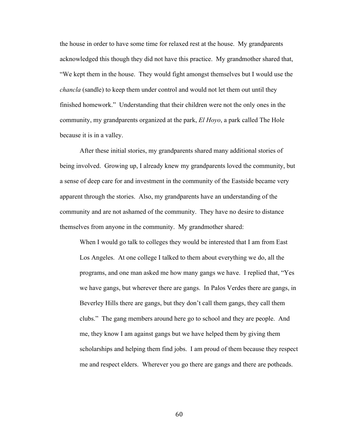the house in order to have some time for relaxed rest at the house. My grandparents acknowledged this though they did not have this practice. My grandmother shared that, "We kept them in the house. They would fight amongst themselves but I would use the *chancla* (sandle) to keep them under control and would not let them out until they finished homework." Understanding that their children were not the only ones in the community, my grandparents organized at the park, *El Hoyo*, a park called The Hole because it is in a valley.

After these initial stories, my grandparents shared many additional stories of being involved. Growing up, I already knew my grandparents loved the community, but a sense of deep care for and investment in the community of the Eastside became very apparent through the stories. Also, my grandparents have an understanding of the community and are not ashamed of the community. They have no desire to distance themselves from anyone in the community. My grandmother shared:

When I would go talk to colleges they would be interested that I am from East Los Angeles. At one college I talked to them about everything we do, all the programs, and one man asked me how many gangs we have. I replied that, "Yes we have gangs, but wherever there are gangs. In Palos Verdes there are gangs, in Beverley Hills there are gangs, but they don't call them gangs, they call them clubs." The gang members around here go to school and they are people. And me, they know I am against gangs but we have helped them by giving them scholarships and helping them find jobs. I am proud of them because they respect me and respect elders. Wherever you go there are gangs and there are potheads.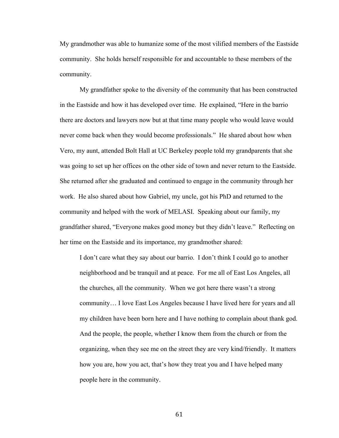My grandmother was able to humanize some of the most vilified members of the Eastside community. She holds herself responsible for and accountable to these members of the community.

My grandfather spoke to the diversity of the community that has been constructed in the Eastside and how it has developed over time. He explained, "Here in the barrio there are doctors and lawyers now but at that time many people who would leave would never come back when they would become professionals." He shared about how when Vero, my aunt, attended Bolt Hall at UC Berkeley people told my grandparents that she was going to set up her offices on the other side of town and never return to the Eastside. She returned after she graduated and continued to engage in the community through her work. He also shared about how Gabriel, my uncle, got his PhD and returned to the community and helped with the work of MELASI. Speaking about our family, my grandfather shared, "Everyone makes good money but they didn't leave." Reflecting on her time on the Eastside and its importance, my grandmother shared:

I don't care what they say about our barrio. I don't think I could go to another neighborhood and be tranquil and at peace. For me all of East Los Angeles, all the churches, all the community. When we got here there wasn't a strong community… I love East Los Angeles because I have lived here for years and all my children have been born here and I have nothing to complain about thank god. And the people, the people, whether I know them from the church or from the organizing, when they see me on the street they are very kind/friendly. It matters how you are, how you act, that's how they treat you and I have helped many people here in the community.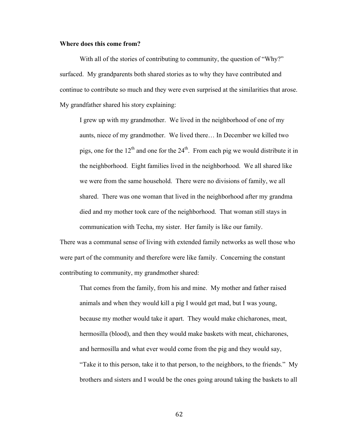# **Where does this come from?**

With all of the stories of contributing to community, the question of "Why?" surfaced. My grandparents both shared stories as to why they have contributed and continue to contribute so much and they were even surprised at the similarities that arose. My grandfather shared his story explaining:

I grew up with my grandmother. We lived in the neighborhood of one of my aunts, niece of my grandmother. We lived there… In December we killed two pigs, one for the  $12<sup>th</sup>$  and one for the  $24<sup>th</sup>$ . From each pig we would distribute it in the neighborhood. Eight families lived in the neighborhood. We all shared like we were from the same household. There were no divisions of family, we all shared. There was one woman that lived in the neighborhood after my grandma died and my mother took care of the neighborhood. That woman still stays in communication with Techa, my sister. Her family is like our family.

There was a communal sense of living with extended family networks as well those who were part of the community and therefore were like family. Concerning the constant contributing to community, my grandmother shared:

That comes from the family, from his and mine. My mother and father raised animals and when they would kill a pig I would get mad, but I was young, because my mother would take it apart. They would make chicharones, meat, hermosilla (blood), and then they would make baskets with meat, chicharones, and hermosilla and what ever would come from the pig and they would say, "Take it to this person, take it to that person, to the neighbors, to the friends." My brothers and sisters and I would be the ones going around taking the baskets to all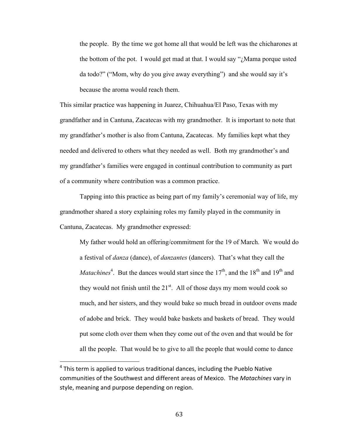the people. By the time we got home all that would be left was the chicharones at the bottom of the pot. I would get mad at that. I would say "¿Mama porque usted da todo?" ("Mom, why do you give away everything") and she would say it's because the aroma would reach them.

This similar practice was happening in Juarez, Chihuahua/El Paso, Texas with my grandfather and in Cantuna, Zacatecas with my grandmother. It is important to note that my grandfather's mother is also from Cantuna, Zacatecas. My families kept what they needed and delivered to others what they needed as well. Both my grandmother's and my grandfather's families were engaged in continual contribution to community as part of a community where contribution was a common practice.

Tapping into this practice as being part of my family's ceremonial way of life, my grandmother shared a story explaining roles my family played in the community in Cantuna, Zacatecas. My grandmother expressed:

My father would hold an offering/commitment for the 19 of March. We would do a festival of *danza* (dance), of *danzantes* (dancers). That's what they call the *Matachines*<sup>4</sup>. But the dances would start since the 17<sup>th</sup>, and the 18<sup>th</sup> and 19<sup>th</sup> and they would not finish until the  $21<sup>st</sup>$ . All of those days my mom would cook so much, and her sisters, and they would bake so much bread in outdoor ovens made of adobe and brick. They would bake baskets and baskets of bread. They would put some cloth over them when they come out of the oven and that would be for all the people. That would be to give to all the people that would come to dance

 $4$  This term is applied to various traditional dances, including the Pueblo Native communities of the Southwest and different areas of Mexico. The *Matachines* vary in style, meaning and purpose depending on region.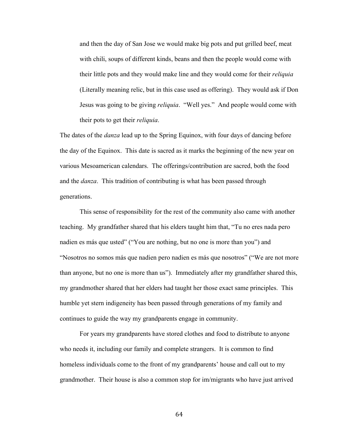and then the day of San Jose we would make big pots and put grilled beef, meat with chili, soups of different kinds, beans and then the people would come with their little pots and they would make line and they would come for their *reliquia* (Literally meaning relic, but in this case used as offering). They would ask if Don Jesus was going to be giving *reliquia*. "Well yes." And people would come with their pots to get their *reliquia*.

The dates of the *danza* lead up to the Spring Equinox, with four days of dancing before the day of the Equinox. This date is sacred as it marks the beginning of the new year on various Mesoamerican calendars. The offerings/contribution are sacred, both the food and the *danza*. This tradition of contributing is what has been passed through generations.

This sense of responsibility for the rest of the community also came with another teaching. My grandfather shared that his elders taught him that, "Tu no eres nada pero nadien es más que usted" ("You are nothing, but no one is more than you") and "Nosotros no somos más que nadien pero nadien es más que nosotros" ("We are not more than anyone, but no one is more than us"). Immediately after my grandfather shared this, my grandmother shared that her elders had taught her those exact same principles. This humble yet stern indigeneity has been passed through generations of my family and continues to guide the way my grandparents engage in community.

For years my grandparents have stored clothes and food to distribute to anyone who needs it, including our family and complete strangers. It is common to find homeless individuals come to the front of my grandparents' house and call out to my grandmother. Their house is also a common stop for im/migrants who have just arrived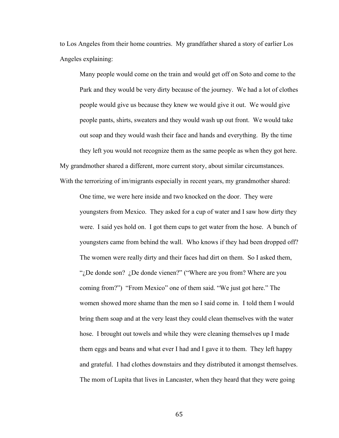to Los Angeles from their home countries. My grandfather shared a story of earlier Los Angeles explaining:

Many people would come on the train and would get off on Soto and come to the Park and they would be very dirty because of the journey. We had a lot of clothes people would give us because they knew we would give it out. We would give people pants, shirts, sweaters and they would wash up out front. We would take out soap and they would wash their face and hands and everything. By the time they left you would not recognize them as the same people as when they got here. My grandmother shared a different, more current story, about similar circumstances. With the terrorizing of im/migrants especially in recent years, my grandmother shared:

One time, we were here inside and two knocked on the door. They were youngsters from Mexico. They asked for a cup of water and I saw how dirty they were. I said yes hold on. I got them cups to get water from the hose. A bunch of youngsters came from behind the wall. Who knows if they had been dropped off? The women were really dirty and their faces had dirt on them. So I asked them, ". De donde son? . De donde vienen?" ("Where are you from? Where are you coming from?") "From Mexico" one of them said. "We just got here." The women showed more shame than the men so I said come in. I told them I would bring them soap and at the very least they could clean themselves with the water hose. I brought out towels and while they were cleaning themselves up I made them eggs and beans and what ever I had and I gave it to them. They left happy and grateful. I had clothes downstairs and they distributed it amongst themselves. The mom of Lupita that lives in Lancaster, when they heard that they were going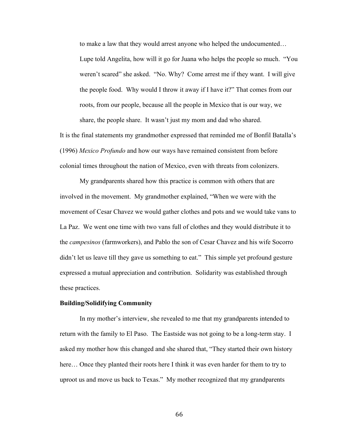to make a law that they would arrest anyone who helped the undocumented… Lupe told Angelita, how will it go for Juana who helps the people so much. "You weren't scared" she asked. "No. Why? Come arrest me if they want. I will give the people food. Why would I throw it away if I have it?" That comes from our roots, from our people, because all the people in Mexico that is our way, we share, the people share. It wasn't just my mom and dad who shared.

It is the final statements my grandmother expressed that reminded me of Bonfil Batalla's (1996) *Mexico Profundo* and how our ways have remained consistent from before colonial times throughout the nation of Mexico, even with threats from colonizers.

My grandparents shared how this practice is common with others that are involved in the movement. My grandmother explained, "When we were with the movement of Cesar Chavez we would gather clothes and pots and we would take vans to La Paz. We went one time with two vans full of clothes and they would distribute it to the *campesinos* (farmworkers), and Pablo the son of Cesar Chavez and his wife Socorro didn't let us leave till they gave us something to eat." This simple yet profound gesture expressed a mutual appreciation and contribution. Solidarity was established through these practices.

## **Building/Solidifying Community**

In my mother's interview, she revealed to me that my grandparents intended to return with the family to El Paso. The Eastside was not going to be a long-term stay. I asked my mother how this changed and she shared that, "They started their own history here... Once they planted their roots here I think it was even harder for them to try to uproot us and move us back to Texas." My mother recognized that my grandparents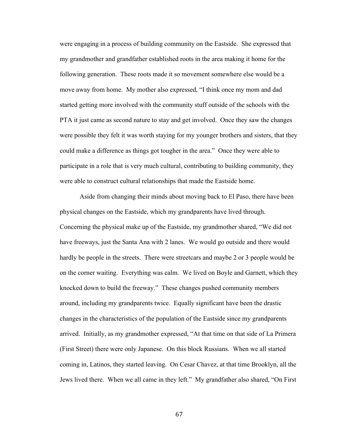were engaging in a process of building community on the Eastside. She expressed that my grandmother and grandfather established roots in the area making it home for the following generation. These roots made it so movement somewhere else would be a move away from home. My mother also expressed, "I think once my mom and dad started getting more involved with the community stuff outside of the schools with the PTA it just came as second nature to stay and get involved. Once they saw the changes were possible they felt it was worth staying for my younger brothers and sisters, that they could make a difference as things got tougher in the area." Once they were able to participate in a role that is very much cultural, contributing to building community, they were able to construct cultural relationships that made the Eastside home.

Aside from changing their minds about moving back to El Paso, there have been physical changes on the Eastside, which my grandparents have lived through. Concerning the physical make up of the Eastside, my grandmother shared, "We did not have freeways, just the Santa Ana with 2 lanes. We would go outside and there would hardly be people in the streets. There were streetcars and maybe 2 or 3 people would be on the corner waiting. Everything was calm. We lived on Boyle and Garnett, which they knocked down to build the freeway." These changes pushed community members around, including my grandparents twice. Equally significant have been the drastic changes in the characteristics of the population of the Eastside since my grandparents arrived. Initially, as my grandmother expressed, "At that time on that side of La Primera (First Street) there were only Japanese. On this block Russians. When we all started coming in, Latinos, they started leaving. On Cesar Chavez, at that time Brooklyn, all the Jews lived there. When we all came in they left." My grandfather also shared, "On First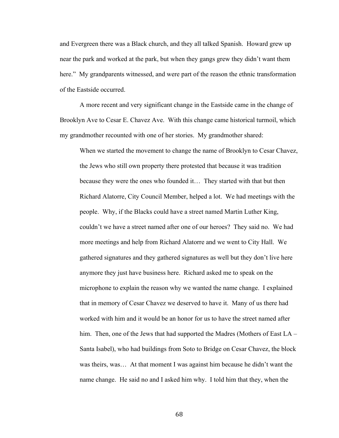and Evergreen there was a Black church, and they all talked Spanish. Howard grew up near the park and worked at the park, but when they gangs grew they didn't want them here." My grandparents witnessed, and were part of the reason the ethnic transformation of the Eastside occurred.

A more recent and very significant change in the Eastside came in the change of Brooklyn Ave to Cesar E. Chavez Ave. With this change came historical turmoil, which my grandmother recounted with one of her stories. My grandmother shared:

When we started the movement to change the name of Brooklyn to Cesar Chavez, the Jews who still own property there protested that because it was tradition because they were the ones who founded it…They started with that but then Richard Alatorre, City Council Member, helped a lot. We had meetings with the people. Why, if the Blacks could have a street named Martin Luther King, couldn't we have a street named after one of our heroes? They said no. We had more meetings and help from Richard Alatorre and we went to City Hall. We gathered signatures and they gathered signatures as well but they don't live here anymore they just have business here. Richard asked me to speak on the microphone to explain the reason why we wanted the name change. I explained that in memory of Cesar Chavez we deserved to have it. Many of us there had worked with him and it would be an honor for us to have the street named after him. Then, one of the Jews that had supported the Madres (Mothers of East LA – Santa Isabel), who had buildings from Soto to Bridge on Cesar Chavez, the block was theirs, was… At that moment I was against him because he didn't want the name change. He said no and I asked him why. I told him that they, when the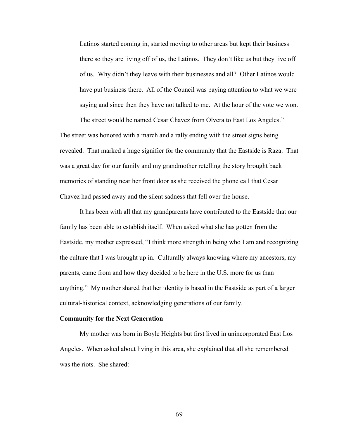Latinos started coming in, started moving to other areas but kept their business there so they are living off of us, the Latinos. They don't like us but they live off of us. Why didn't they leave with their businesses and all? Other Latinos would have put business there. All of the Council was paying attention to what we were saying and since then they have not talked to me. At the hour of the vote we won.

The street would be named Cesar Chavez from Olvera to East Los Angeles." The street was honored with a march and a rally ending with the street signs being revealed. That marked a huge signifier for the community that the Eastside is Raza. That was a great day for our family and my grandmother retelling the story brought back memories of standing near her front door as she received the phone call that Cesar Chavez had passed away and the silent sadness that fell over the house.

It has been with all that my grandparents have contributed to the Eastside that our family has been able to establish itself. When asked what she has gotten from the Eastside, my mother expressed, "I think more strength in being who I am and recognizing the culture that I was brought up in. Culturally always knowing where my ancestors, my parents, came from and how they decided to be here in the U.S. more for us than anything."My mother shared that her identity is based in the Eastside as part of a larger cultural-historical context, acknowledging generations of our family.

### **Community for the Next Generation**

My mother was born in Boyle Heights but first lived in unincorporated East Los Angeles. When asked about living in this area, she explained that all she remembered was the riots. She shared: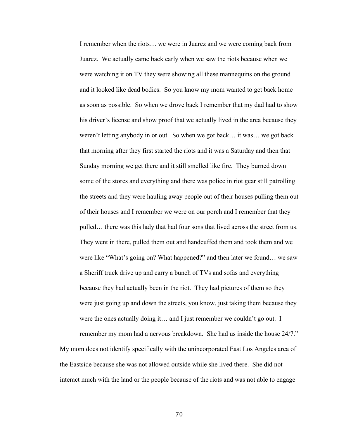I remember when the riots… we were in Juarez and we were coming back from Juarez. We actually came back early when we saw the riots because when we were watching it on TV they were showing all these mannequins on the ground and it looked like dead bodies. So you know my mom wanted to get back home as soon as possible. So when we drove back I remember that my dad had to show his driver's license and show proof that we actually lived in the area because they weren't letting anybody in or out. So when we got back… it was… we got back that morning after they first started the riots and it was a Saturday and then that Sunday morning we get there and it still smelled like fire. They burned down some of the stores and everything and there was police in riot gear still patrolling the streets and they were hauling away people out of their houses pulling them out of their houses and I remember we were on our porch and I remember that they pulled… there was this lady that had four sons that lived across the street from us. They went in there, pulled them out and handcuffed them and took them and we were like "What's going on? What happened?" and then later we found… we saw a Sheriff truck drive up and carry a bunch of TVs and sofas and everything because they had actually been in the riot. They had pictures of them so they were just going up and down the streets, you know, just taking them because they were the ones actually doing it… and I just remember we couldn't go out. I remember my mom had a nervous breakdown. She had us inside the house 24/7."

My mom does not identify specifically with the unincorporated East Los Angeles area of the Eastside because she was not allowed outside while she lived there. She did not interact much with the land or the people because of the riots and was not able to engage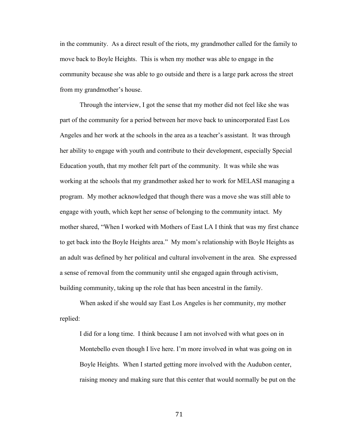in the community. As a direct result of the riots, my grandmother called for the family to move back to Boyle Heights. This is when my mother was able to engage in the community because she was able to go outside and there is a large park across the street from my grandmother's house.

Through the interview, I got the sense that my mother did not feel like she was part of the community for a period between her move back to unincorporated East Los Angeles and her work at the schools in the area as a teacher's assistant. It was through her ability to engage with youth and contribute to their development, especially Special Education youth, that my mother felt part of the community. It was while she was working at the schools that my grandmother asked her to work for MELASI managing a program. My mother acknowledged that though there was a move she was still able to engage with youth, which kept her sense of belonging to the community intact. My mother shared, "When I worked with Mothers of East LA I think that was my first chance to get back into the Boyle Heights area." My mom's relationship with Boyle Heights as an adult was defined by her political and cultural involvement in the area. She expressed a sense of removal from the community until she engaged again through activism, building community, taking up the role that has been ancestral in the family.

When asked if she would say East Los Angeles is her community, my mother replied:

I did for a long time. I think because I am not involved with what goes on in Montebello even though I live here. I'm more involved in what was going on in Boyle Heights. When I started getting more involved with the Audubon center, raising money and making sure that this center that would normally be put on the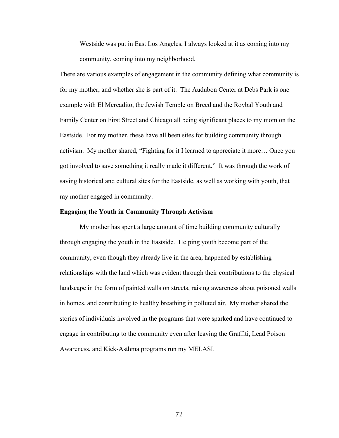Westside was put in East Los Angeles, I always looked at it as coming into my community, coming into my neighborhood.

There are various examples of engagement in the community defining what community is for my mother, and whether she is part of it. The Audubon Center at Debs Park is one example with El Mercadito, the Jewish Temple on Breed and the Roybal Youth and Family Center on First Street and Chicago all being significant places to my mom on the Eastside. For my mother, these have all been sites for building community through activism. My mother shared, "Fighting for it I learned to appreciate it more… Once you got involved to save something it really made it different." It was through the work of saving historical and cultural sites for the Eastside, as well as working with youth, that my mother engaged in community.

# **Engaging the Youth in Community Through Activism**

My mother has spent a large amount of time building community culturally through engaging the youth in the Eastside. Helping youth become part of the community, even though they already live in the area, happened by establishing relationships with the land which was evident through their contributions to the physical landscape in the form of painted walls on streets, raising awareness about poisoned walls in homes, and contributing to healthy breathing in polluted air. My mother shared the stories of individuals involved in the programs that were sparked and have continued to engage in contributing to the community even after leaving the Graffiti, Lead Poison Awareness, and Kick-Asthma programs run my MELASI.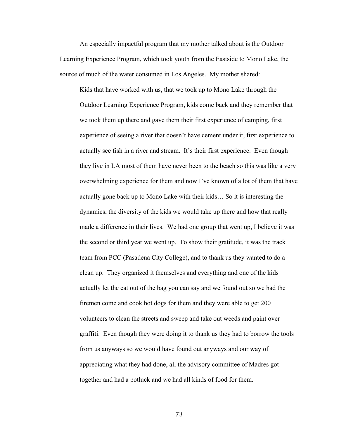An especially impactful program that my mother talked about is the Outdoor Learning Experience Program, which took youth from the Eastside to Mono Lake, the source of much of the water consumed in Los Angeles. My mother shared:

Kids that have worked with us, that we took up to Mono Lake through the Outdoor Learning Experience Program, kids come back and they remember that we took them up there and gave them their first experience of camping, first experience of seeing a river that doesn't have cement under it, first experience to actually see fish in a river and stream. It's their first experience. Even though they live in LA most of them have never been to the beach so this was like a very overwhelming experience for them and now I've known of a lot of them that have actually gone back up to Mono Lake with their kids… So it is interesting the dynamics, the diversity of the kids we would take up there and how that really made a difference in their lives. We had one group that went up, I believe it was the second or third year we went up. To show their gratitude, it was the track team from PCC (Pasadena City College), and to thank us they wanted to do a clean up. They organized it themselves and everything and one of the kids actually let the cat out of the bag you can say and we found out so we had the firemen come and cook hot dogs for them and they were able to get 200 volunteers to clean the streets and sweep and take out weeds and paint over graffiti. Even though they were doing it to thank us they had to borrow the tools from us anyways so we would have found out anyways and our way of appreciating what they had done, all the advisory committee of Madres got together and had a potluck and we had all kinds of food for them.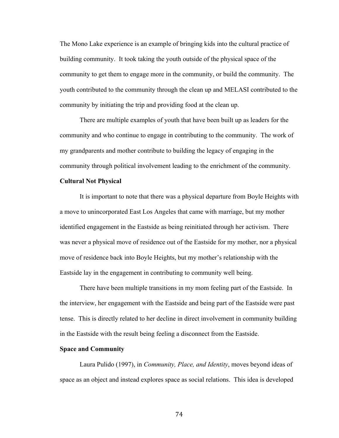The Mono Lake experience is an example of bringing kids into the cultural practice of building community. It took taking the youth outside of the physical space of the community to get them to engage more in the community, or build the community. The youth contributed to the community through the clean up and MELASI contributed to the community by initiating the trip and providing food at the clean up.

There are multiple examples of youth that have been built up as leaders for the community and who continue to engage in contributing to the community. The work of my grandparents and mother contribute to building the legacy of engaging in the community through political involvement leading to the enrichment of the community.

# **Cultural Not Physical**

It is important to note that there was a physical departure from Boyle Heights with a move to unincorporated East Los Angeles that came with marriage, but my mother identified engagement in the Eastside as being reinitiated through her activism. There was never a physical move of residence out of the Eastside for my mother, nor a physical move of residence back into Boyle Heights, but my mother's relationship with the Eastside lay in the engagement in contributing to community well being.

There have been multiple transitions in my mom feeling part of the Eastside. In the interview, her engagement with the Eastside and being part of the Eastside were past tense. This is directly related to her decline in direct involvement in community building in the Eastside with the result being feeling a disconnect from the Eastside.

## **Space and Community**

Laura Pulido (1997), in *Community, Place, and Identity*, moves beyond ideas of space as an object and instead explores space as social relations. This idea is developed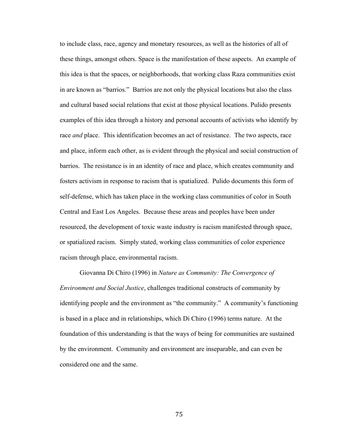to include class, race, agency and monetary resources, as well as the histories of all of these things, amongst others. Space is the manifestation of these aspects. An example of this idea is that the spaces, or neighborhoods, that working class Raza communities exist in are known as "barrios." Barrios are not only the physical locations but also the class and cultural based social relations that exist at those physical locations. Pulido presents examples of this idea through a history and personal accounts of activists who identify by race *and* place. This identification becomes an act of resistance. The two aspects, race and place, inform each other, as is evident through the physical and social construction of barrios. The resistance is in an identity of race and place, which creates community and fosters activism in response to racism that is spatialized. Pulido documents this form of self-defense, which has taken place in the working class communities of color in South Central and East Los Angeles. Because these areas and peoples have been under resourced, the development of toxic waste industry is racism manifested through space, or spatialized racism. Simply stated, working class communities of color experience racism through place, environmental racism.

Giovanna Di Chiro (1996) in *Nature as Community: The Convergence of Environment and Social Justice*, challenges traditional constructs of community by identifying people and the environment as "the community." A community's functioning is based in a place and in relationships, which Di Chiro (1996) terms nature. At the foundation of this understanding is that the ways of being for communities are sustained by the environment. Community and environment are inseparable, and can even be considered one and the same.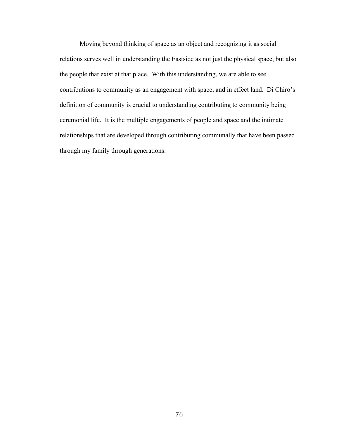Moving beyond thinking of space as an object and recognizing it as social relations serves well in understanding the Eastside as not just the physical space, but also the people that exist at that place. With this understanding, we are able to see contributions to community as an engagement with space, and in effect land. Di Chiro's definition of community is crucial to understanding contributing to community being ceremonial life. It is the multiple engagements of people and space and the intimate relationships that are developed through contributing communally that have been passed through my family through generations.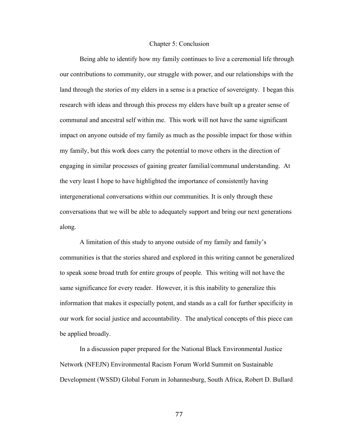### Chapter 5: Conclusion

Being able to identify how my family continues to live a ceremonial life through our contributions to community, our struggle with power, and our relationships with the land through the stories of my elders in a sense is a practice of sovereignty. I began this research with ideas and through this process my elders have built up a greater sense of communal and ancestral self within me. This work will not have the same significant impact on anyone outside of my family as much as the possible impact for those within my family, but this work does carry the potential to move others in the direction of engaging in similar processes of gaining greater familial/communal understanding. At the very least I hope to have highlighted the importance of consistently having intergenerational conversations within our communities. It is only through these conversations that we will be able to adequately support and bring our next generations along.

A limitation of this study to anyone outside of my family and family's communities is that the stories shared and explored in this writing cannot be generalized to speak some broad truth for entire groups of people. This writing will not have the same significance for every reader. However, it is this inability to generalize this information that makes it especially potent, and stands as a call for further specificity in our work for social justice and accountability. The analytical concepts of this piece can be applied broadly.

In a discussion paper prepared for the National Black Environmental Justice Network (NFEJN) Environmental Racism Forum World Summit on Sustainable Development (WSSD) Global Forum in Johannesburg, South Africa, Robert D. Bullard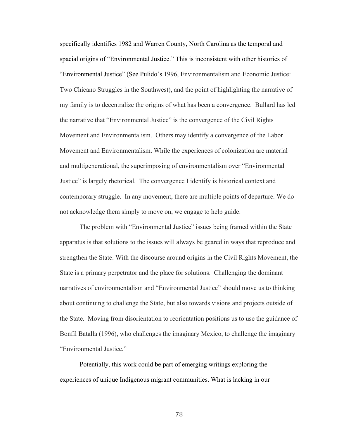specifically identifies 1982 and Warren County, North Carolina as the temporal and spacial origins of "Environmental Justice." This is inconsistent with other histories of "Environmental Justice" (See Pulido's 1996, Environmentalism and Economic Justice: Two Chicano Struggles in the Southwest), and the point of highlighting the narrative of my family is to decentralize the origins of what has been a convergence. Bullard has led the narrative that "Environmental Justice" is the convergence of the Civil Rights Movement and Environmentalism. Others may identify a convergence of the Labor Movement and Environmentalism. While the experiences of colonization are material and multigenerational, the superimposing of environmentalism over "Environmental Justice" is largely rhetorical. The convergence I identify is historical context and contemporary struggle. In any movement, there are multiple points of departure. We do not acknowledge them simply to move on, we engage to help guide.

The problem with "Environmental Justice" issues being framed within the State apparatus is that solutions to the issues will always be geared in ways that reproduce and strengthen the State. With the discourse around origins in the Civil Rights Movement, the State is a primary perpetrator and the place for solutions. Challenging the dominant narratives of environmentalism and "Environmental Justice" should move us to thinking about continuing to challenge the State, but also towards visions and projects outside of the State. Moving from disorientation to reorientation positions us to use the guidance of Bonfil Batalla (1996), who challenges the imaginary Mexico, to challenge the imaginary "Environmental Justice."

Potentially, this work could be part of emerging writings exploring the experiences of unique Indigenous migrant communities. What is lacking in our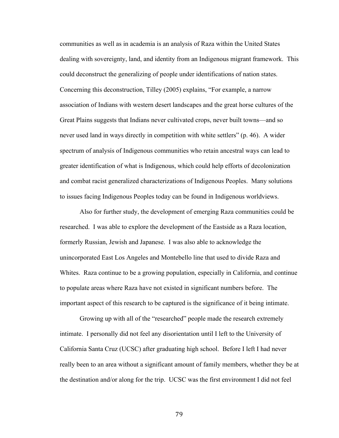communities as well as in academia is an analysis of Raza within the United States dealing with sovereignty, land, and identity from an Indigenous migrant framework. This could deconstruct the generalizing of people under identifications of nation states. Concerning this deconstruction, Tilley (2005) explains, "For example, a narrow association of Indians with western desert landscapes and the great horse cultures of the Great Plains suggests that Indians never cultivated crops, never built towns—and so never used land in ways directly in competition with white settlers" (p. 46). A wider spectrum of analysis of Indigenous communities who retain ancestral ways can lead to greater identification of what is Indigenous, which could help efforts of decolonization and combat racist generalized characterizations of Indigenous Peoples. Many solutions to issues facing Indigenous Peoples today can be found in Indigenous worldviews.

Also for further study, the development of emerging Raza communities could be researched. I was able to explore the development of the Eastside as a Raza location, formerly Russian, Jewish and Japanese. I was also able to acknowledge the unincorporated East Los Angeles and Montebello line that used to divide Raza and Whites. Raza continue to be a growing population, especially in California, and continue to populate areas where Raza have not existed in significant numbers before. The important aspect of this research to be captured is the significance of it being intimate.

Growing up with all of the "researched" people made the research extremely intimate. I personally did not feel any disorientation until I left to the University of California Santa Cruz (UCSC) after graduating high school. Before I left I had never really been to an area without a significant amount of family members, whether they be at the destination and/or along for the trip. UCSC was the first environment I did not feel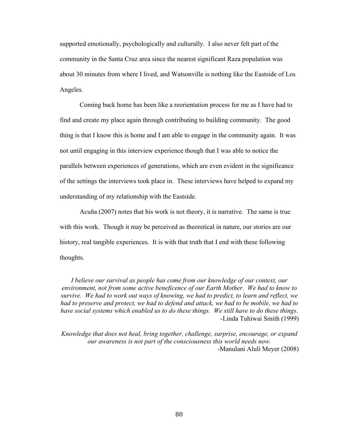supported emotionally, psychologically and culturally. I also never felt part of the community in the Santa Cruz area since the nearest significant Raza population was about 30 minutes from where I lived, and Watsonville is nothing like the Eastside of Los Angeles.

Coming back home has been like a reorientation process for me as I have had to find and create my place again through contributing to building community. The good thing is that I know this is home and I am able to engage in the community again. It was not until engaging in this interview experience though that I was able to notice the parallels between experiences of generations, which are even evident in the significance of the settings the interviews took place in. These interviews have helped to expand my understanding of my relationship with the Eastside.

Acuña (2007) notes that his work is not theory, it is narrative. The same is true with this work. Though it may be perceived as theoretical in nature, our stories are our history, real tangible experiences. It is with that truth that I end with these following thoughts.

*I believe our survival as people has come from our knowledge of our context, our environment, not from some active beneficence of our Earth Mother. We had to know to survive. We had to work out ways of knowing, we had to predict, to learn and reflect, we had to preserve and protect, we had to defend and attack, we had to be mobile, we had to have social systems which enabled us to do these things. We still have to do these things*. -Linda Tuhiwai Smith (1999)

*Knowledge that does not heal, bring together, challenge, surprise, encourage, or expand our awareness is not part of the consciousness this world needs now.* -Manulani Aluli Meyer (2008)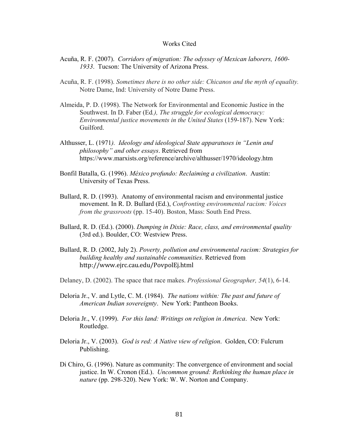## Works Cited

- Acuña, R. F. (2007). *Corridors of migration: The odyssey of Mexican laborers, 1600- 1933*. Tucson: The University of Arizona Press.
- Acuña, R. F. (1998). *Sometimes there is no other side: Chicanos and the myth of equality.* Notre Dame, Ind: University of Notre Dame Press.
- Almeida, P. D. (1998). The Network for Environmental and Economic Justice in the Southwest. In D. Faber (Ed*.), The struggle for ecological democracy: Environmental justice movements in the United States* (159-187). New York: Guilford.
- Althusser, L. (1971*). Ideology and ideological State apparatuses in "Lenin and philosophy" and other essays*. Retrieved from https://www.marxists.org/reference/archive/althusser/1970/ideology.htm
- Bonfil Batalla, G. (1996). *México profundo: Reclaiming a civilization*. Austin: University of Texas Press.
- Bullard, R. D. (1993). Anatomy of environmental racism and environmental justice movement. In R. D. Bullard (Ed.), *Confronting environmental racism: Voices from the grassroots* (pp. 15-40). Boston, Mass: South End Press.
- Bullard, R. D. (Ed.). (2000). *Dumping in Dixie: Race, class, and environmental quality* (3rd ed.). Boulder, CO: Westview Press.
- Bullard, R. D. (2002, July 2). *Poverty, pollution and environmental racism: Strategies for building healthy and sustainable communities*. Retrieved from http://www.ejrc.cau.edu/PovpolEj.html
- Delaney, D. (2002). The space that race makes. *Professional Geographer, 54*(1), 6-14.
- Deloria Jr., V. and Lytle, C. M. (1984). *The nations within: The past and future of American Indian sovereignty*. New York: Pantheon Books.
- Deloria Jr., V. (1999). *For this land: Writings on religion in America*. New York: Routledge.
- Deloria Jr., V. (2003). *God is red: A Native view of religion*. Golden, CO: Fulcrum Publishing.
- Di Chiro, G. (1996). Nature as community: The convergence of environment and social justice. In W. Cronon (Ed.). *Uncommon ground: Rethinking the human place in nature* (pp. 298-320). New York: W. W. Norton and Company.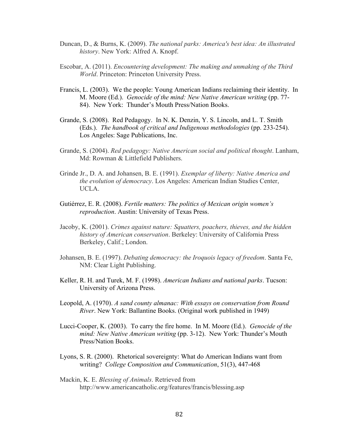- Duncan, D., & Burns, K. (2009). *The national parks: America's best idea: An illustrated history*. New York: Alfred A. Knopf.
- Escobar, A. (2011). *Encountering development: The making and unmaking of the Third World*. Princeton: Princeton University Press.
- Francis, L. (2003). We the people: Young American Indians reclaiming their identity. In M. Moore (Ed.). *Genocide of the mind: New Native American writing* (pp. 77- 84). New York: Thunder's Mouth Press/Nation Books.
- Grande, S. (2008). Red Pedagogy. In N. K. Denzin, Y. S. Lincoln, and L. T. Smith (Eds.). *The handbook of critical and Indigenous methodologies* (pp. 233-254). Los Angeles: Sage Publications, Inc.
- Grande, S. (2004). *Red pedagogy: Native American social and political thought*. Lanham, Md: Rowman & Littlefield Publishers.
- Grinde Jr., D. A. and Johansen, B. E. (1991). *Exemplar of liberty: Native America and the evolution of democracy*. Los Angeles: American Indian Studies Center, UCLA.
- Gutiérrez, E. R. (2008). *Fertile matters: The politics of Mexican origin women's reproduction*. Austin: University of Texas Press.
- Jacoby, K. (2001). *Crimes against nature: Squatters, poachers, thieves, and the hidden history of American conservation*. Berkeley: University of California Press Berkeley, Calif.; London.
- Johansen, B. E. (1997). *Debating democracy: the Iroquois legacy of freedom*. Santa Fe, NM: Clear Light Publishing.
- Keller, R. H. and Turek, M. F. (1998). *American Indians and national parks*. Tucson: University of Arizona Press.
- Leopold, A. (1970). *A sand county almanac: With essays on conservation from Round River*. New York: Ballantine Books. (Original work published in 1949)
- Lucci-Cooper, K. (2003). To carry the fire home. In M. Moore (Ed.). *Genocide of the mind: New Native American writing* (pp. 3-12). New York: Thunder's Mouth Press/Nation Books.
- Lyons, S. R. (2000). Rhetorical sovereignty: What do American Indians want from writing? *College Composition and Communication*, 51(3), 447-468
- Mackin, K. E. *Blessing of Animals*. Retrieved from http://www.americancatholic.org/features/francis/blessing.asp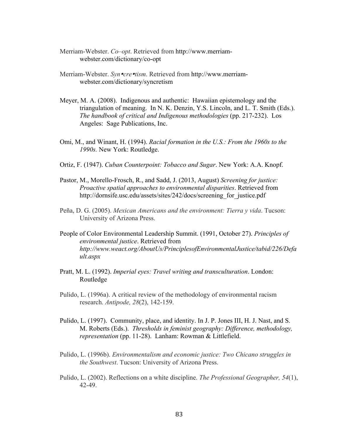- Merriam-Webster. *Co–opt*. Retrieved from http://www.merriamwebster.com/dictionary/co-opt
- Merriam-Webster. *Syn•cre•tism*. Retrieved from http://www.merriamwebster.com/dictionary/syncretism
- Meyer, M. A. (2008). Indigenous and authentic: Hawaiian epistemology and the triangulation of meaning. In N. K. Denzin, Y.S. Lincoln, and L. T. Smith (Eds.). *The handbook of critical and Indigenous methodologies* (pp. 217-232). Los Angeles: Sage Publications, Inc.
- Omi, M., and Winant, H. (1994). *Racial formation in the U.S.: From the 1960s to the 1990s.* New York: Routledge.
- Ortiz, F. (1947). *Cuban Counterpoint: Tobacco and Sugar*. New York: A.A. Knopf.
- Pastor, M., Morello-Frosch, R., and Sadd, J. (2013, August) *Screening for justice: Proactive spatial approaches to environmental disparities*. Retrieved from http://dornsife.usc.edu/assets/sites/242/docs/screening for justice.pdf
- Peña, D. G. (2005). *Mexican Americans and the environment: Tierra y vida*. Tucson: University of Arizona Press.
- People of Color Environmental Leadership Summit. (1991, October 27). *Principles of environmental justice*. Retrieved from *http://www.weact.org/AboutUs/PrinciplesofEnvironmentalJustice/tabid/226/Defa ult.aspx*
- Pratt, M. L. (1992). *Imperial eyes: Travel writing and transculturation*. London: Routledge
- Pulido, L. (1996a). A critical review of the methodology of environmental racism research. *Antipode, 28*(2), 142-159.
- Pulido, L. (1997). Community, place, and identity. In J. P. Jones III, H. J. Nast, and S. M. Roberts (Eds.). *Thresholds in feminist geography: Difference, methodology, representation* (pp. 11-28). Lanham: Rowman & Littlefield.
- Pulido, L. (1996b). *Environmentalism and economic justice: Two Chicano struggles in the Southwest*. Tucson: University of Arizona Press.
- Pulido, L. (2002). Reflections on a white discipline. *The Professional Geographer, 54*(1), 42-49.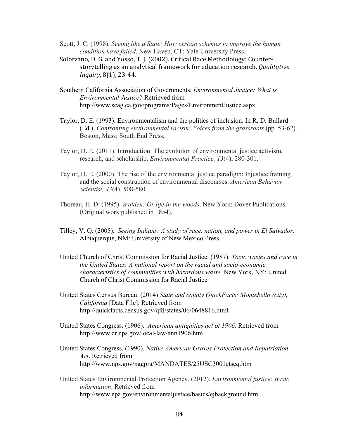- Scott, J. C. (1998). *Seeing like a State: How certain schemes to improve the human condition have failed*. New Haven, CT: Yale University Press.
- Solórzano, D. G. and Yosso, T. J. (2002). Critical Race Methodology: Counterstorytelling as an analytical framework for education research. *Qualitative Inquiry*, 8(1), 23-44.
- Southern California Association of Governments. *Environmental Justice: What is Environmental Justice?* Retrieved from http://www.scag.ca.gov/programs/Pages/EnvironmentJustice.aspx
- Taylor, D. E. (1993). Environmentalism and the politics of inclusion. In R. D. Bullard (Ed.), *Confronting environmental racism: Voices from the grassroots* (pp. 53-62). Boston, Mass: South End Press.
- Taylor, D. E. (2011). Introduction: The evolution of environmental justice activism, research, and scholarship. *Environmental Practice, 13*(4), 280-301.
- Taylor, D. E. (2000). The rise of the environmental justice paradigm: Injustice framing and the social construction of environmental discourses. *American Behavior Scientist, 43*(4), 508-580.
- Thoreau, H. D. (1995). *Walden: Or life in the woods*. New York: Dover Publications. (Original work published in 1854).
- Tilley, V. Q. (2005). *Seeing Indians: A study of race, nation, and power in El Salvador*. Albuquerque, NM: University of New Mexico Press.
- United Church of Christ Commission for Racial Justice. (1987). *Toxic wastes and race in the United States: A national report on the racial and socio-economic characteristics of communities with hazardous waste.* New York, NY: United Church of Christ Commission for Racial Justice
- United States Census Bureau. (2014) *State and county QuickFacts: Montebello (city), California* [Data File]. Retrieved from http://quickfacts.census.gov/qfd/states/06/0648816.html
- United States Congress. (1906). *American antiquities act of 1906*. Retrieved from http://www.cr.nps.gov/local-law/anti1906.htm
- United States Congress. (1990). *Native American Graves Protection and Repatriation Act*. Retrieved from http://www.nps.gov/nagpra/MANDATES/25USC3001etseq.htm
- United States Environmental Protection Agency. (2012). *Environmental justice: Basic information*. Retrieved from http://www.epa.gov/environmentaljustice/basics/ejbackground.html